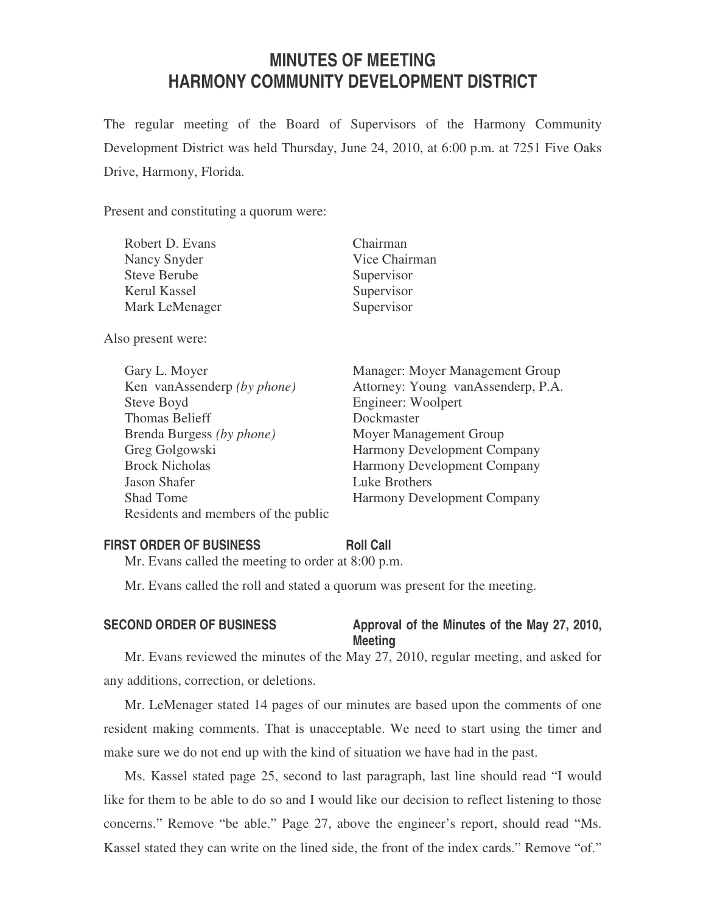# **MINUTES OF MEETING HARMONY COMMUNITY DEVELOPMENT DISTRICT**

The regular meeting of the Board of Supervisors of the Harmony Community Development District was held Thursday, June 24, 2010, at 6:00 p.m. at 7251 Five Oaks Drive, Harmony, Florida.

Present and constituting a quorum were:

| Robert D. Evans     | Chairman      |
|---------------------|---------------|
| Nancy Snyder        | Vice Chairman |
| <b>Steve Berube</b> | Supervisor    |
| Kerul Kassel        | Supervisor    |
| Mark LeMenager      | Supervisor    |
|                     |               |

Also present were:

| Gary L. Moyer                       |
|-------------------------------------|
| Ken vanAssenderp (by phone)         |
| Steve Boyd                          |
| <b>Thomas Belieff</b>               |
| Brenda Burgess (by phone)           |
| Greg Golgowski                      |
| <b>Brock Nicholas</b>               |
| <b>Jason Shafer</b>                 |
| <b>Shad Tome</b>                    |
| Residents and members of the public |

Manager: Moyer Management Group Attorney: Young vanAssenderp, P.A. Engineer: Woolpert Dockmaster **Moyer Management Group** Harmony Development Company Harmony Development Company Luke Brothers Harmony Development Company

#### **FIRST ORDER OF BUSINESS Roll Call**

Mr. Evans called the meeting to order at 8:00 p.m.

Mr. Evans called the roll and stated a quorum was present for the meeting.

### SECOND ORDER OF BUSINESS Approval of the Minutes of the May 27, 2010, **Meeting**

Mr. Evans reviewed the minutes of the May 27, 2010, regular meeting, and asked for any additions, correction, or deletions.

Mr. LeMenager stated 14 pages of our minutes are based upon the comments of one resident making comments. That is unacceptable. We need to start using the timer and make sure we do not end up with the kind of situation we have had in the past.

Ms. Kassel stated page 25, second to last paragraph, last line should read "I would like for them to be able to do so and I would like our decision to reflect listening to those concerns." Remove "be able." Page 27, above the engineer's report, should read "Ms. Kassel stated they can write on the lined side, the front of the index cards." Remove "of."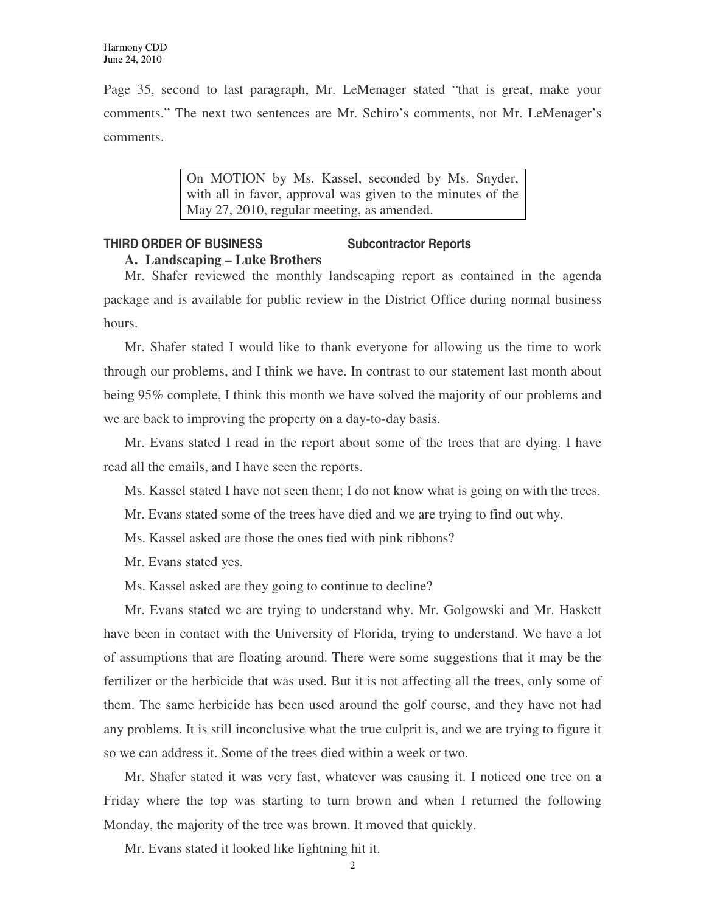Page 35, second to last paragraph, Mr. LeMenager stated "that is great, make your comments." The next two sentences are Mr. Schiro's comments, not Mr. LeMenager's comments.

> On MOTION by Ms. Kassel, seconded by Ms. Snyder, with all in favor, approval was given to the minutes of the May 27, 2010, regular meeting, as amended.

### **THIRD ORDER OF BUSINESS Subcontractor Reports A. Landscaping – Luke Brothers**

Mr. Shafer reviewed the monthly landscaping report as contained in the agenda package and is available for public review in the District Office during normal business hours.

Mr. Shafer stated I would like to thank everyone for allowing us the time to work through our problems, and I think we have. In contrast to our statement last month about being 95% complete, I think this month we have solved the majority of our problems and we are back to improving the property on a day-to-day basis.

Mr. Evans stated I read in the report about some of the trees that are dying. I have read all the emails, and I have seen the reports.

Ms. Kassel stated I have not seen them; I do not know what is going on with the trees.

- Mr. Evans stated some of the trees have died and we are trying to find out why.
- Ms. Kassel asked are those the ones tied with pink ribbons?
- Mr. Evans stated yes.
- Ms. Kassel asked are they going to continue to decline?

Mr. Evans stated we are trying to understand why. Mr. Golgowski and Mr. Haskett have been in contact with the University of Florida, trying to understand. We have a lot of assumptions that are floating around. There were some suggestions that it may be the fertilizer or the herbicide that was used. But it is not affecting all the trees, only some of them. The same herbicide has been used around the golf course, and they have not had any problems. It is still inconclusive what the true culprit is, and we are trying to figure it so we can address it. Some of the trees died within a week or two.

Mr. Shafer stated it was very fast, whatever was causing it. I noticed one tree on a Friday where the top was starting to turn brown and when I returned the following Monday, the majority of the tree was brown. It moved that quickly.

Mr. Evans stated it looked like lightning hit it.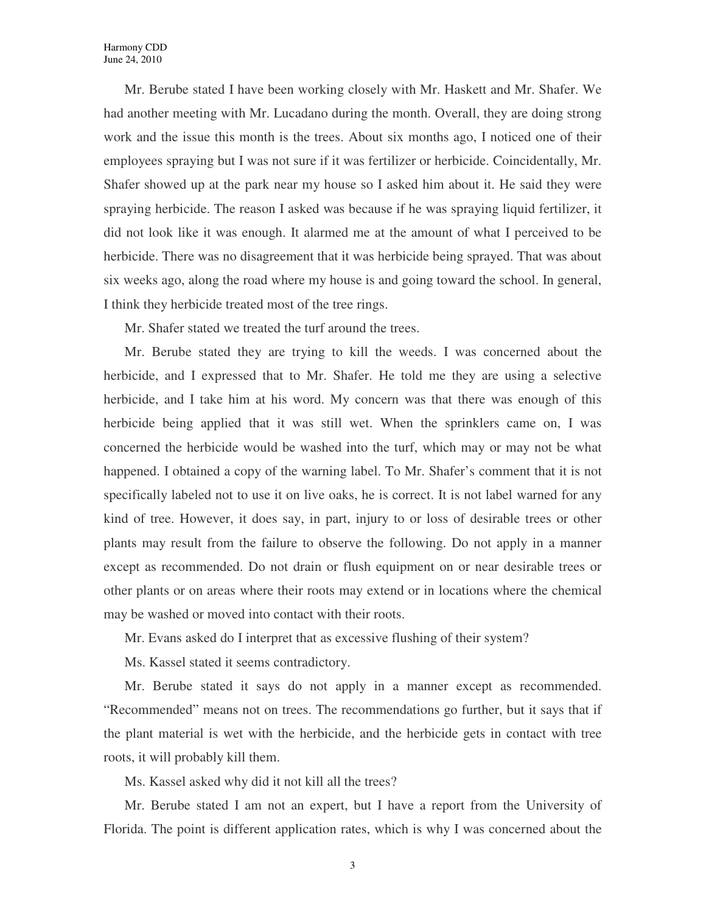Mr. Berube stated I have been working closely with Mr. Haskett and Mr. Shafer. We had another meeting with Mr. Lucadano during the month. Overall, they are doing strong work and the issue this month is the trees. About six months ago, I noticed one of their employees spraying but I was not sure if it was fertilizer or herbicide. Coincidentally, Mr. Shafer showed up at the park near my house so I asked him about it. He said they were spraying herbicide. The reason I asked was because if he was spraying liquid fertilizer, it did not look like it was enough. It alarmed me at the amount of what I perceived to be herbicide. There was no disagreement that it was herbicide being sprayed. That was about six weeks ago, along the road where my house is and going toward the school. In general, I think they herbicide treated most of the tree rings.

Mr. Shafer stated we treated the turf around the trees.

Mr. Berube stated they are trying to kill the weeds. I was concerned about the herbicide, and I expressed that to Mr. Shafer. He told me they are using a selective herbicide, and I take him at his word. My concern was that there was enough of this herbicide being applied that it was still wet. When the sprinklers came on, I was concerned the herbicide would be washed into the turf, which may or may not be what happened. I obtained a copy of the warning label. To Mr. Shafer's comment that it is not specifically labeled not to use it on live oaks, he is correct. It is not label warned for any kind of tree. However, it does say, in part, injury to or loss of desirable trees or other plants may result from the failure to observe the following. Do not apply in a manner except as recommended. Do not drain or flush equipment on or near desirable trees or other plants or on areas where their roots may extend or in locations where the chemical may be washed or moved into contact with their roots.

Mr. Evans asked do I interpret that as excessive flushing of their system?

Ms. Kassel stated it seems contradictory.

Mr. Berube stated it says do not apply in a manner except as recommended. "Recommended" means not on trees. The recommendations go further, but it says that if the plant material is wet with the herbicide, and the herbicide gets in contact with tree roots, it will probably kill them.

Ms. Kassel asked why did it not kill all the trees?

Mr. Berube stated I am not an expert, but I have a report from the University of Florida. The point is different application rates, which is why I was concerned about the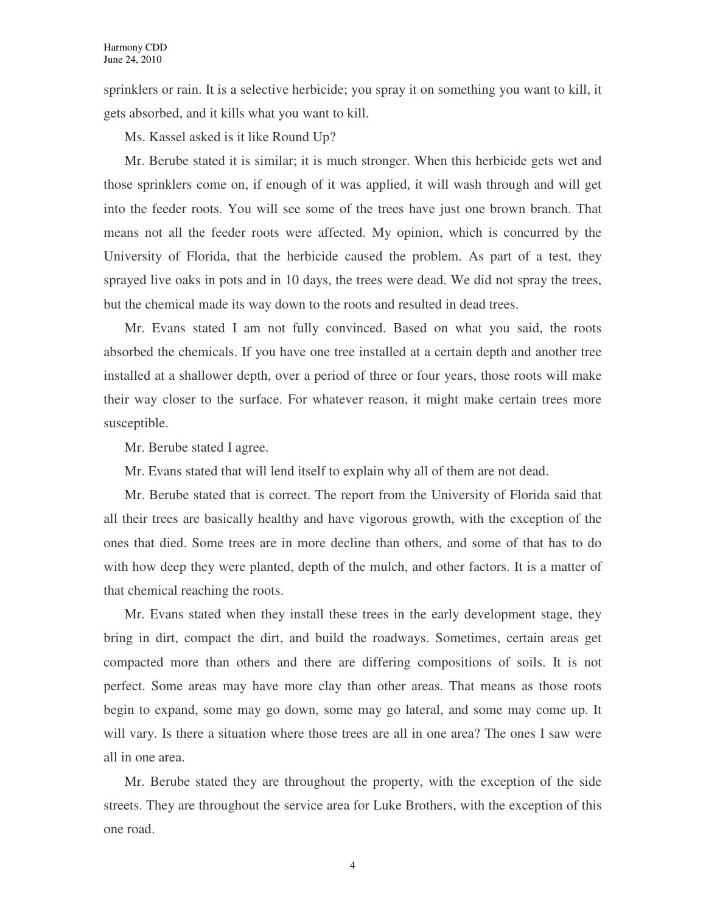sprinklers or rain. It is a selective herbicide; you spray it on something you want to kill, it gets absorbed, and it kills what you want to kill.

Ms. Kassel asked is it like Round Up?

Mr. Berube stated it is similar; it is much stronger. When this herbicide gets wet and those sprinklers come on, if enough of it was applied, it will wash through and will get into the feeder roots. You will see some of the trees have just one brown branch. That means not all the feeder roots were affected. My opinion, which is concurred by the University of Florida, that the herbicide caused the problem. As part of a test, they sprayed live oaks in pots and in 10 days, the trees were dead. We did not spray the trees, but the chemical made its way down to the roots and resulted in dead trees.

Mr. Evans stated I am not fully convinced. Based on what you said, the roots absorbed the chemicals. If you have one tree installed at a certain depth and another tree installed at a shallower depth, over a period of three or four years, those roots will make their way closer to the surface. For whatever reason, it might make certain trees more susceptible.

Mr. Berube stated I agree.

Mr. Evans stated that will lend itself to explain why all of them are not dead.

Mr. Berube stated that is correct. The report from the University of Florida said that all their trees are basically healthy and have vigorous growth, with the exception of the ones that died. Some trees are in more decline than others, and some of that has to do with how deep they were planted, depth of the mulch, and other factors. It is a matter of that chemical reaching the roots.

Mr. Evans stated when they install these trees in the early development stage, they bring in dirt, compact the dirt, and build the roadways. Sometimes, certain areas get compacted more than others and there are differing compositions of soils. It is not perfect. Some areas may have more clay than other areas. That means as those roots begin to expand, some may go down, some may go lateral, and some may come up. It will vary. Is there a situation where those trees are all in one area? The ones I saw were all in one area.

Mr. Berube stated they are throughout the property, with the exception of the side streets. They are throughout the service area for Luke Brothers, with the exception of this one road.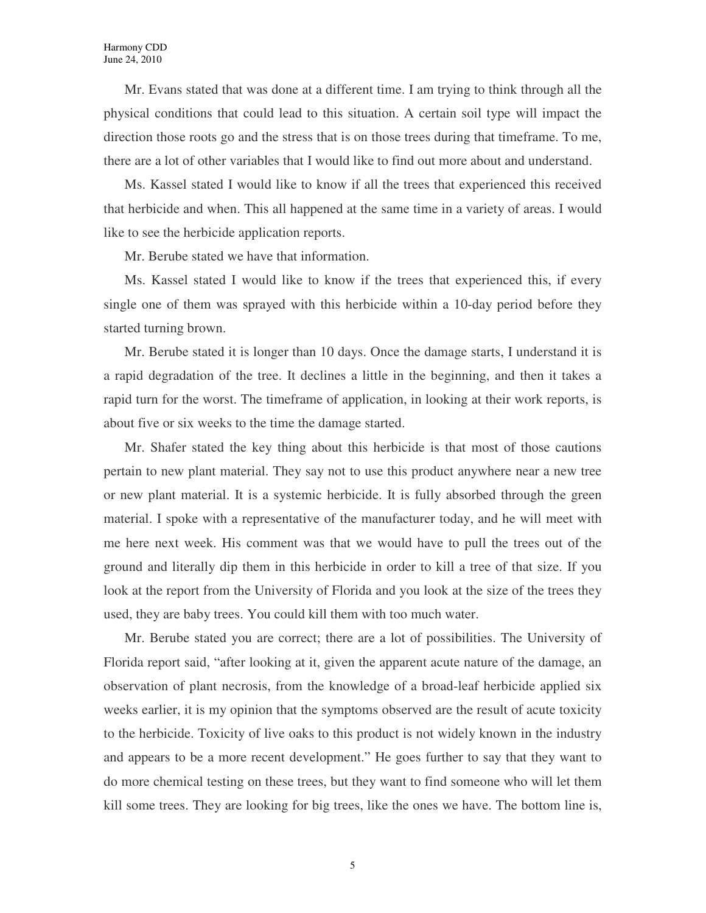Mr. Evans stated that was done at a different time. I am trying to think through all the physical conditions that could lead to this situation. A certain soil type will impact the direction those roots go and the stress that is on those trees during that timeframe. To me, there are a lot of other variables that I would like to find out more about and understand.

Ms. Kassel stated I would like to know if all the trees that experienced this received that herbicide and when. This all happened at the same time in a variety of areas. I would like to see the herbicide application reports.

Mr. Berube stated we have that information.

Ms. Kassel stated I would like to know if the trees that experienced this, if every single one of them was sprayed with this herbicide within a 10-day period before they started turning brown.

Mr. Berube stated it is longer than 10 days. Once the damage starts, I understand it is a rapid degradation of the tree. It declines a little in the beginning, and then it takes a rapid turn for the worst. The timeframe of application, in looking at their work reports, is about five or six weeks to the time the damage started.

Mr. Shafer stated the key thing about this herbicide is that most of those cautions pertain to new plant material. They say not to use this product anywhere near a new tree or new plant material. It is a systemic herbicide. It is fully absorbed through the green material. I spoke with a representative of the manufacturer today, and he will meet with me here next week. His comment was that we would have to pull the trees out of the ground and literally dip them in this herbicide in order to kill a tree of that size. If you look at the report from the University of Florida and you look at the size of the trees they used, they are baby trees. You could kill them with too much water.

Mr. Berube stated you are correct; there are a lot of possibilities. The University of Florida report said, "after looking at it, given the apparent acute nature of the damage, an observation of plant necrosis, from the knowledge of a broad-leaf herbicide applied six weeks earlier, it is my opinion that the symptoms observed are the result of acute toxicity to the herbicide. Toxicity of live oaks to this product is not widely known in the industry and appears to be a more recent development." He goes further to say that they want to do more chemical testing on these trees, but they want to find someone who will let them kill some trees. They are looking for big trees, like the ones we have. The bottom line is,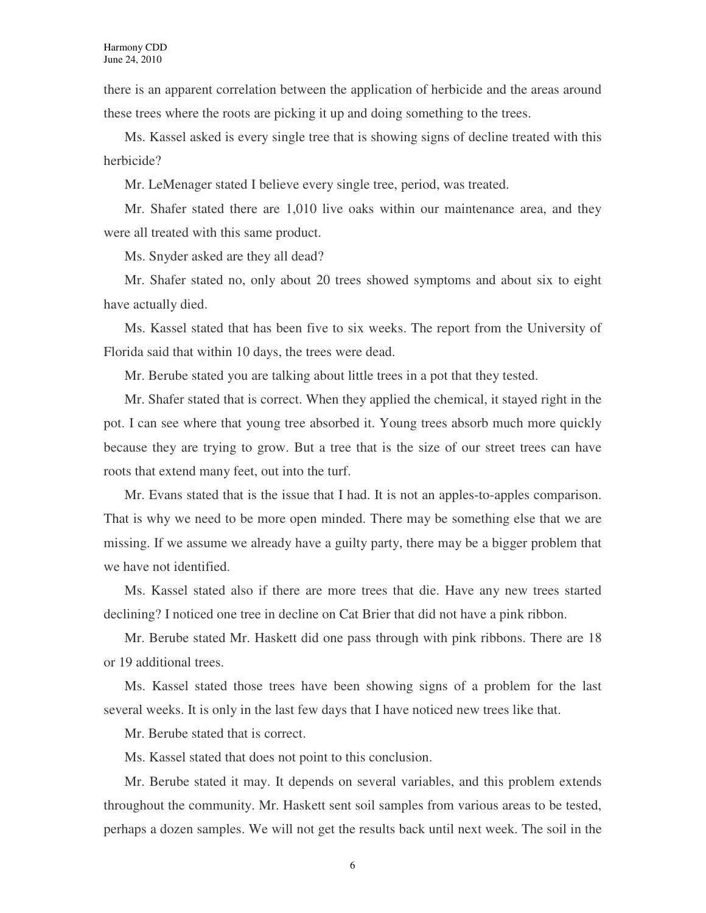there is an apparent correlation between the application of herbicide and the areas around these trees where the roots are picking it up and doing something to the trees.

Ms. Kassel asked is every single tree that is showing signs of decline treated with this herbicide?

Mr. LeMenager stated I believe every single tree, period, was treated.

Mr. Shafer stated there are 1,010 live oaks within our maintenance area, and they were all treated with this same product.

Ms. Snyder asked are they all dead?

Mr. Shafer stated no, only about 20 trees showed symptoms and about six to eight have actually died.

Ms. Kassel stated that has been five to six weeks. The report from the University of Florida said that within 10 days, the trees were dead.

Mr. Berube stated you are talking about little trees in a pot that they tested.

Mr. Shafer stated that is correct. When they applied the chemical, it stayed right in the pot. I can see where that young tree absorbed it. Young trees absorb much more quickly because they are trying to grow. But a tree that is the size of our street trees can have roots that extend many feet, out into the turf.

Mr. Evans stated that is the issue that I had. It is not an apples-to-apples comparison. That is why we need to be more open minded. There may be something else that we are missing. If we assume we already have a guilty party, there may be a bigger problem that we have not identified.

Ms. Kassel stated also if there are more trees that die. Have any new trees started declining? I noticed one tree in decline on Cat Brier that did not have a pink ribbon.

Mr. Berube stated Mr. Haskett did one pass through with pink ribbons. There are 18 or 19 additional trees.

Ms. Kassel stated those trees have been showing signs of a problem for the last several weeks. It is only in the last few days that I have noticed new trees like that.

Mr. Berube stated that is correct.

Ms. Kassel stated that does not point to this conclusion.

Mr. Berube stated it may. It depends on several variables, and this problem extends throughout the community. Mr. Haskett sent soil samples from various areas to be tested, perhaps a dozen samples. We will not get the results back until next week. The soil in the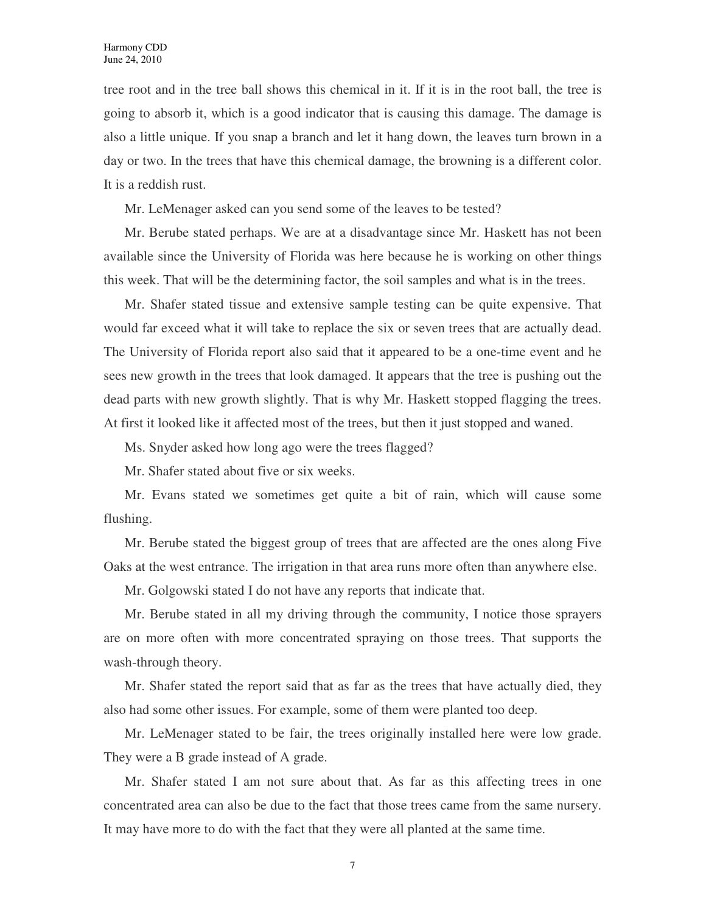tree root and in the tree ball shows this chemical in it. If it is in the root ball, the tree is going to absorb it, which is a good indicator that is causing this damage. The damage is also a little unique. If you snap a branch and let it hang down, the leaves turn brown in a day or two. In the trees that have this chemical damage, the browning is a different color. It is a reddish rust.

Mr. LeMenager asked can you send some of the leaves to be tested?

Mr. Berube stated perhaps. We are at a disadvantage since Mr. Haskett has not been available since the University of Florida was here because he is working on other things this week. That will be the determining factor, the soil samples and what is in the trees.

Mr. Shafer stated tissue and extensive sample testing can be quite expensive. That would far exceed what it will take to replace the six or seven trees that are actually dead. The University of Florida report also said that it appeared to be a one-time event and he sees new growth in the trees that look damaged. It appears that the tree is pushing out the dead parts with new growth slightly. That is why Mr. Haskett stopped flagging the trees. At first it looked like it affected most of the trees, but then it just stopped and waned.

Ms. Snyder asked how long ago were the trees flagged?

Mr. Shafer stated about five or six weeks.

Mr. Evans stated we sometimes get quite a bit of rain, which will cause some flushing.

Mr. Berube stated the biggest group of trees that are affected are the ones along Five Oaks at the west entrance. The irrigation in that area runs more often than anywhere else.

Mr. Golgowski stated I do not have any reports that indicate that.

Mr. Berube stated in all my driving through the community, I notice those sprayers are on more often with more concentrated spraying on those trees. That supports the wash-through theory.

Mr. Shafer stated the report said that as far as the trees that have actually died, they also had some other issues. For example, some of them were planted too deep.

Mr. LeMenager stated to be fair, the trees originally installed here were low grade. They were a B grade instead of A grade.

Mr. Shafer stated I am not sure about that. As far as this affecting trees in one concentrated area can also be due to the fact that those trees came from the same nursery. It may have more to do with the fact that they were all planted at the same time.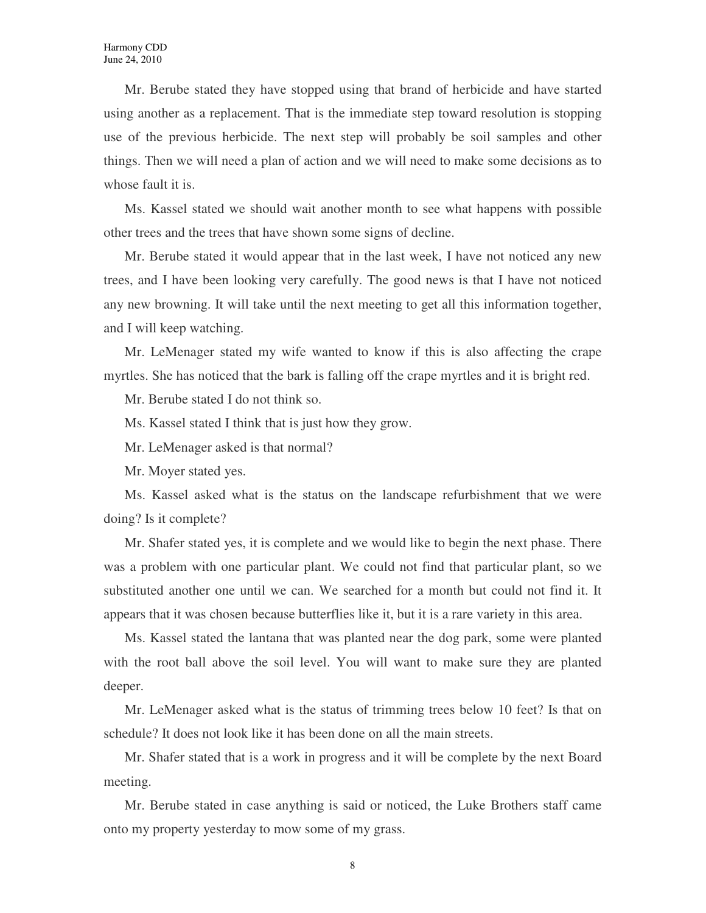Mr. Berube stated they have stopped using that brand of herbicide and have started using another as a replacement. That is the immediate step toward resolution is stopping use of the previous herbicide. The next step will probably be soil samples and other things. Then we will need a plan of action and we will need to make some decisions as to whose fault it is.

Ms. Kassel stated we should wait another month to see what happens with possible other trees and the trees that have shown some signs of decline.

Mr. Berube stated it would appear that in the last week, I have not noticed any new trees, and I have been looking very carefully. The good news is that I have not noticed any new browning. It will take until the next meeting to get all this information together, and I will keep watching.

Mr. LeMenager stated my wife wanted to know if this is also affecting the crape myrtles. She has noticed that the bark is falling off the crape myrtles and it is bright red.

Mr. Berube stated I do not think so.

Ms. Kassel stated I think that is just how they grow.

Mr. LeMenager asked is that normal?

Mr. Moyer stated yes.

Ms. Kassel asked what is the status on the landscape refurbishment that we were doing? Is it complete?

Mr. Shafer stated yes, it is complete and we would like to begin the next phase. There was a problem with one particular plant. We could not find that particular plant, so we substituted another one until we can. We searched for a month but could not find it. It appears that it was chosen because butterflies like it, but it is a rare variety in this area.

Ms. Kassel stated the lantana that was planted near the dog park, some were planted with the root ball above the soil level. You will want to make sure they are planted deeper.

Mr. LeMenager asked what is the status of trimming trees below 10 feet? Is that on schedule? It does not look like it has been done on all the main streets.

Mr. Shafer stated that is a work in progress and it will be complete by the next Board meeting.

Mr. Berube stated in case anything is said or noticed, the Luke Brothers staff came onto my property yesterday to mow some of my grass.

8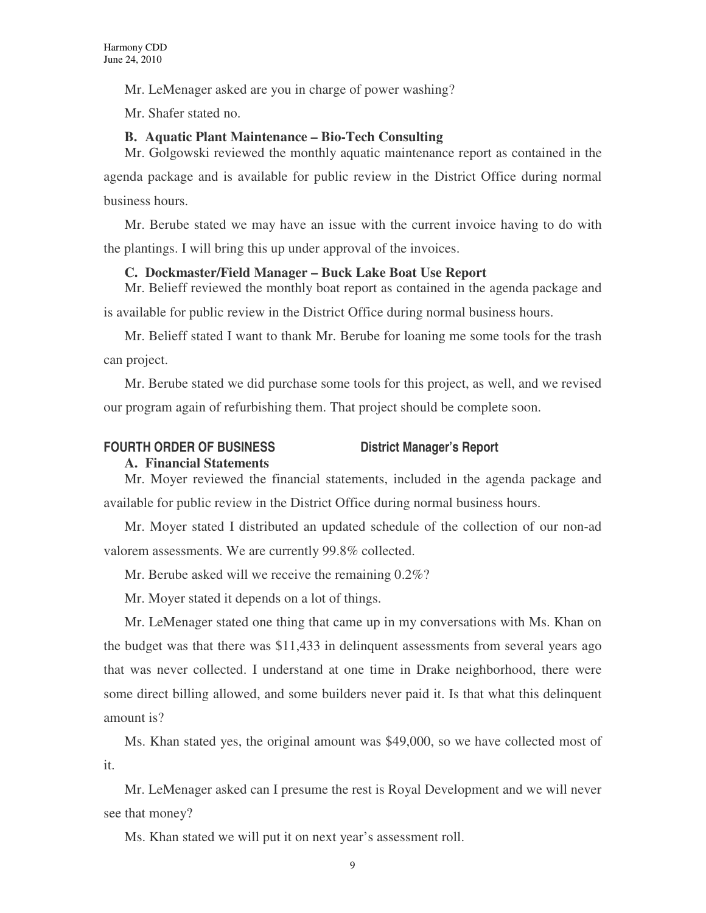Mr. LeMenager asked are you in charge of power washing?

Mr. Shafer stated no.

### **B. Aquatic Plant Maintenance – Bio-Tech Consulting**

Mr. Golgowski reviewed the monthly aquatic maintenance report as contained in the agenda package and is available for public review in the District Office during normal business hours.

Mr. Berube stated we may have an issue with the current invoice having to do with the plantings. I will bring this up under approval of the invoices.

### **C. Dockmaster/Field Manager – Buck Lake Boat Use Report**

Mr. Belieff reviewed the monthly boat report as contained in the agenda package and is available for public review in the District Office during normal business hours.

Mr. Belieff stated I want to thank Mr. Berube for loaning me some tools for the trash can project.

Mr. Berube stated we did purchase some tools for this project, as well, and we revised our program again of refurbishing them. That project should be complete soon.

#### FOURTH ORDER OF BUSINESS District Manager's Report

#### **A. Financial Statements**

Mr. Moyer reviewed the financial statements, included in the agenda package and available for public review in the District Office during normal business hours.

Mr. Moyer stated I distributed an updated schedule of the collection of our non-ad valorem assessments. We are currently 99.8% collected.

Mr. Berube asked will we receive the remaining 0.2%?

Mr. Moyer stated it depends on a lot of things.

Mr. LeMenager stated one thing that came up in my conversations with Ms. Khan on the budget was that there was \$11,433 in delinquent assessments from several years ago that was never collected. I understand at one time in Drake neighborhood, there were some direct billing allowed, and some builders never paid it. Is that what this delinquent amount is?

Ms. Khan stated yes, the original amount was \$49,000, so we have collected most of it.

Mr. LeMenager asked can I presume the rest is Royal Development and we will never see that money?

Ms. Khan stated we will put it on next year's assessment roll.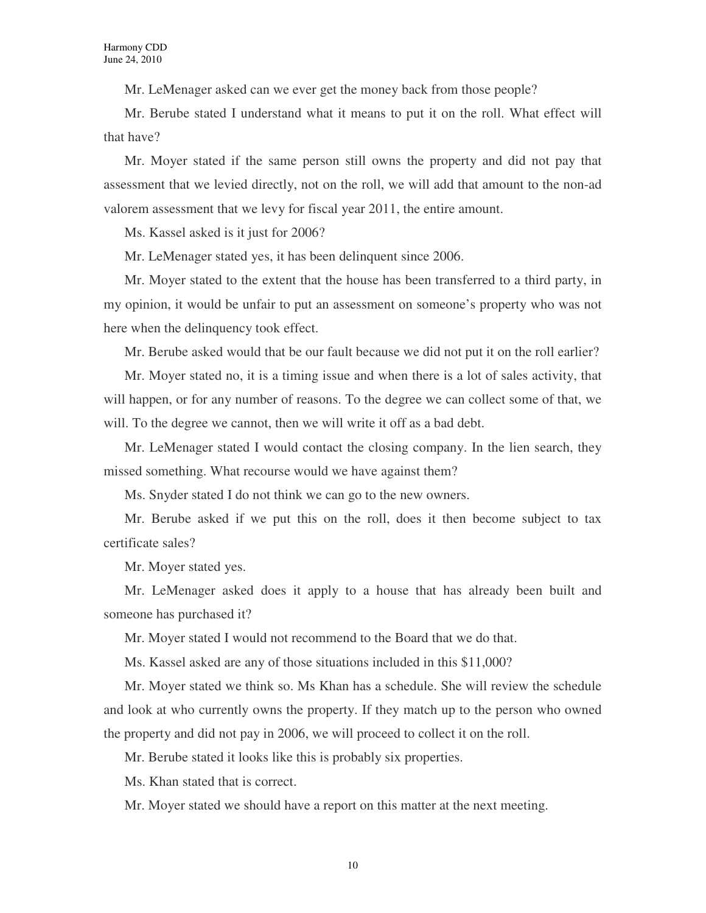Mr. LeMenager asked can we ever get the money back from those people?

Mr. Berube stated I understand what it means to put it on the roll. What effect will that have?

Mr. Moyer stated if the same person still owns the property and did not pay that assessment that we levied directly, not on the roll, we will add that amount to the non-ad valorem assessment that we levy for fiscal year 2011, the entire amount.

Ms. Kassel asked is it just for 2006?

Mr. LeMenager stated yes, it has been delinquent since 2006.

Mr. Moyer stated to the extent that the house has been transferred to a third party, in my opinion, it would be unfair to put an assessment on someone's property who was not here when the delinquency took effect.

Mr. Berube asked would that be our fault because we did not put it on the roll earlier?

Mr. Moyer stated no, it is a timing issue and when there is a lot of sales activity, that will happen, or for any number of reasons. To the degree we can collect some of that, we will. To the degree we cannot, then we will write it off as a bad debt.

Mr. LeMenager stated I would contact the closing company. In the lien search, they missed something. What recourse would we have against them?

Ms. Snyder stated I do not think we can go to the new owners.

Mr. Berube asked if we put this on the roll, does it then become subject to tax certificate sales?

Mr. Moyer stated yes.

Mr. LeMenager asked does it apply to a house that has already been built and someone has purchased it?

Mr. Moyer stated I would not recommend to the Board that we do that.

Ms. Kassel asked are any of those situations included in this \$11,000?

Mr. Moyer stated we think so. Ms Khan has a schedule. She will review the schedule and look at who currently owns the property. If they match up to the person who owned the property and did not pay in 2006, we will proceed to collect it on the roll.

Mr. Berube stated it looks like this is probably six properties.

Ms. Khan stated that is correct.

Mr. Moyer stated we should have a report on this matter at the next meeting.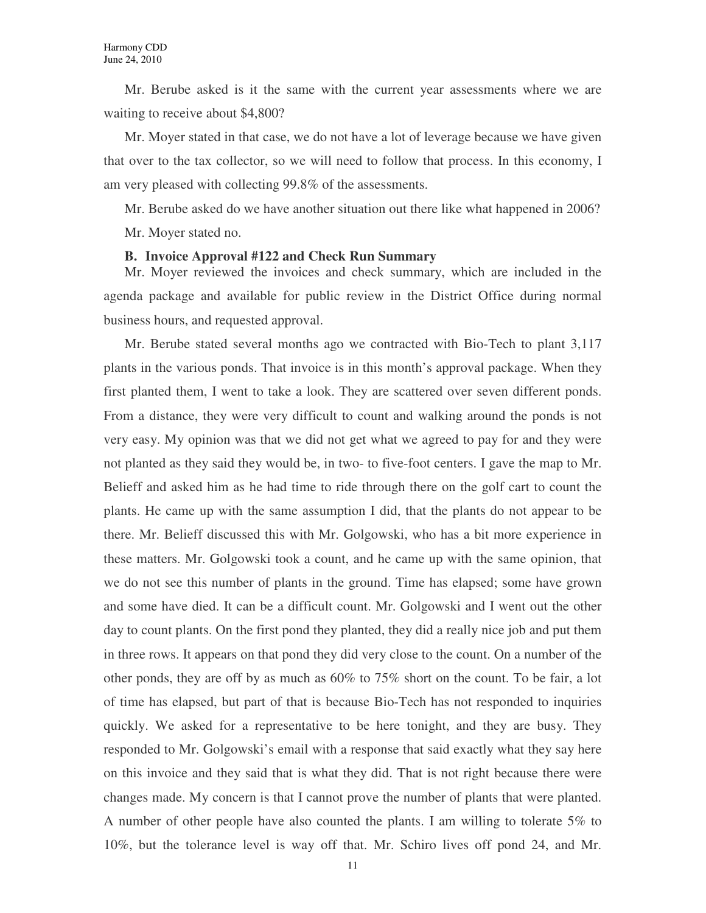Mr. Berube asked is it the same with the current year assessments where we are waiting to receive about \$4,800?

Mr. Moyer stated in that case, we do not have a lot of leverage because we have given that over to the tax collector, so we will need to follow that process. In this economy, I am very pleased with collecting 99.8% of the assessments.

Mr. Berube asked do we have another situation out there like what happened in 2006? Mr. Moyer stated no.

#### **B. Invoice Approval #122 and Check Run Summary**

Mr. Moyer reviewed the invoices and check summary, which are included in the agenda package and available for public review in the District Office during normal business hours, and requested approval.

Mr. Berube stated several months ago we contracted with Bio-Tech to plant 3,117 plants in the various ponds. That invoice is in this month's approval package. When they first planted them, I went to take a look. They are scattered over seven different ponds. From a distance, they were very difficult to count and walking around the ponds is not very easy. My opinion was that we did not get what we agreed to pay for and they were not planted as they said they would be, in two- to five-foot centers. I gave the map to Mr. Belieff and asked him as he had time to ride through there on the golf cart to count the plants. He came up with the same assumption I did, that the plants do not appear to be there. Mr. Belieff discussed this with Mr. Golgowski, who has a bit more experience in these matters. Mr. Golgowski took a count, and he came up with the same opinion, that we do not see this number of plants in the ground. Time has elapsed; some have grown and some have died. It can be a difficult count. Mr. Golgowski and I went out the other day to count plants. On the first pond they planted, they did a really nice job and put them in three rows. It appears on that pond they did very close to the count. On a number of the other ponds, they are off by as much as 60% to 75% short on the count. To be fair, a lot of time has elapsed, but part of that is because Bio-Tech has not responded to inquiries quickly. We asked for a representative to be here tonight, and they are busy. They responded to Mr. Golgowski's email with a response that said exactly what they say here on this invoice and they said that is what they did. That is not right because there were changes made. My concern is that I cannot prove the number of plants that were planted. A number of other people have also counted the plants. I am willing to tolerate 5% to 10%, but the tolerance level is way off that. Mr. Schiro lives off pond 24, and Mr.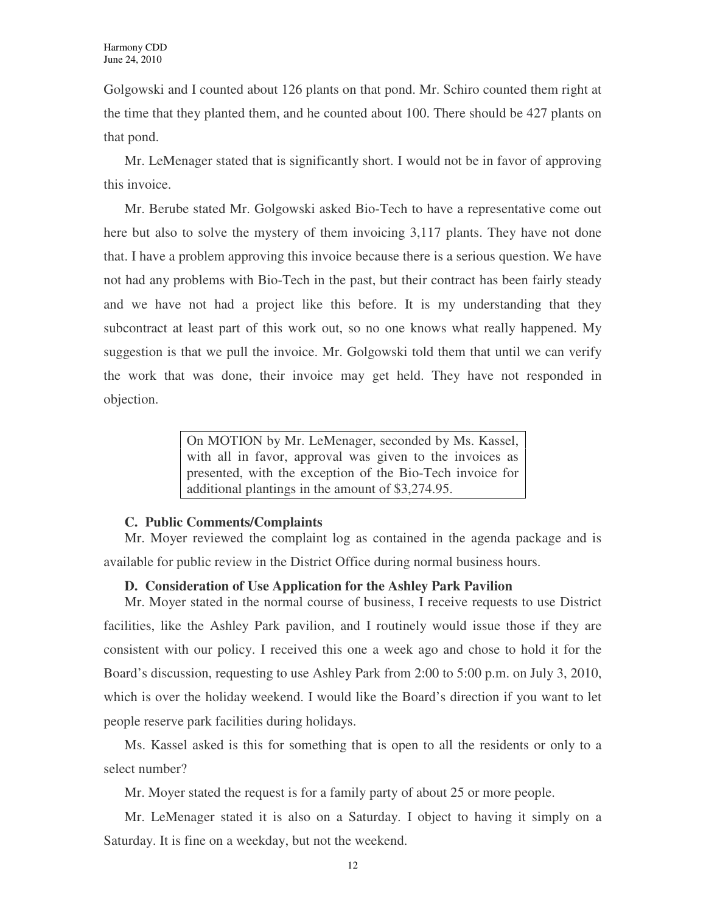Golgowski and I counted about 126 plants on that pond. Mr. Schiro counted them right at the time that they planted them, and he counted about 100. There should be 427 plants on that pond.

Mr. LeMenager stated that is significantly short. I would not be in favor of approving this invoice.

Mr. Berube stated Mr. Golgowski asked Bio-Tech to have a representative come out here but also to solve the mystery of them invoicing 3,117 plants. They have not done that. I have a problem approving this invoice because there is a serious question. We have not had any problems with Bio-Tech in the past, but their contract has been fairly steady and we have not had a project like this before. It is my understanding that they subcontract at least part of this work out, so no one knows what really happened. My suggestion is that we pull the invoice. Mr. Golgowski told them that until we can verify the work that was done, their invoice may get held. They have not responded in objection.

> On MOTION by Mr. LeMenager, seconded by Ms. Kassel, with all in favor, approval was given to the invoices as presented, with the exception of the Bio-Tech invoice for additional plantings in the amount of \$3,274.95.

#### **C. Public Comments/Complaints**

Mr. Moyer reviewed the complaint log as contained in the agenda package and is available for public review in the District Office during normal business hours.

#### **D. Consideration of Use Application for the Ashley Park Pavilion**

Mr. Moyer stated in the normal course of business, I receive requests to use District facilities, like the Ashley Park pavilion, and I routinely would issue those if they are consistent with our policy. I received this one a week ago and chose to hold it for the Board's discussion, requesting to use Ashley Park from 2:00 to 5:00 p.m. on July 3, 2010, which is over the holiday weekend. I would like the Board's direction if you want to let people reserve park facilities during holidays.

Ms. Kassel asked is this for something that is open to all the residents or only to a select number?

Mr. Moyer stated the request is for a family party of about 25 or more people.

Mr. LeMenager stated it is also on a Saturday. I object to having it simply on a Saturday. It is fine on a weekday, but not the weekend.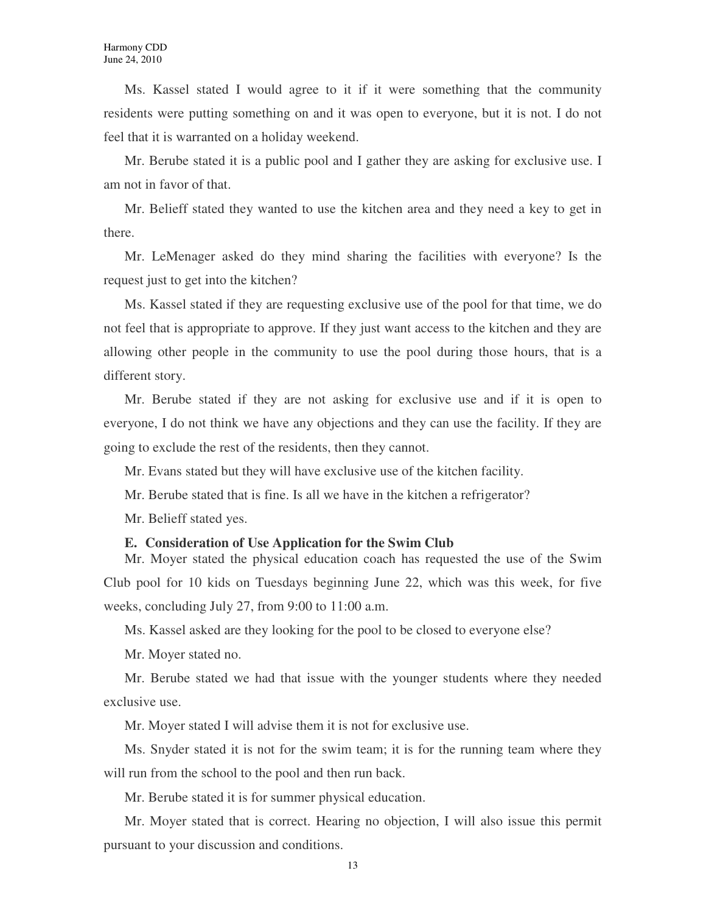Ms. Kassel stated I would agree to it if it were something that the community residents were putting something on and it was open to everyone, but it is not. I do not feel that it is warranted on a holiday weekend.

Mr. Berube stated it is a public pool and I gather they are asking for exclusive use. I am not in favor of that.

Mr. Belieff stated they wanted to use the kitchen area and they need a key to get in there.

Mr. LeMenager asked do they mind sharing the facilities with everyone? Is the request just to get into the kitchen?

Ms. Kassel stated if they are requesting exclusive use of the pool for that time, we do not feel that is appropriate to approve. If they just want access to the kitchen and they are allowing other people in the community to use the pool during those hours, that is a different story.

Mr. Berube stated if they are not asking for exclusive use and if it is open to everyone, I do not think we have any objections and they can use the facility. If they are going to exclude the rest of the residents, then they cannot.

Mr. Evans stated but they will have exclusive use of the kitchen facility.

Mr. Berube stated that is fine. Is all we have in the kitchen a refrigerator?

Mr. Belieff stated yes.

#### **E. Consideration of Use Application for the Swim Club**

Mr. Moyer stated the physical education coach has requested the use of the Swim Club pool for 10 kids on Tuesdays beginning June 22, which was this week, for five weeks, concluding July 27, from 9:00 to 11:00 a.m.

Ms. Kassel asked are they looking for the pool to be closed to everyone else?

Mr. Moyer stated no.

Mr. Berube stated we had that issue with the younger students where they needed exclusive use.

Mr. Moyer stated I will advise them it is not for exclusive use.

Ms. Snyder stated it is not for the swim team; it is for the running team where they will run from the school to the pool and then run back.

Mr. Berube stated it is for summer physical education.

Mr. Moyer stated that is correct. Hearing no objection, I will also issue this permit pursuant to your discussion and conditions.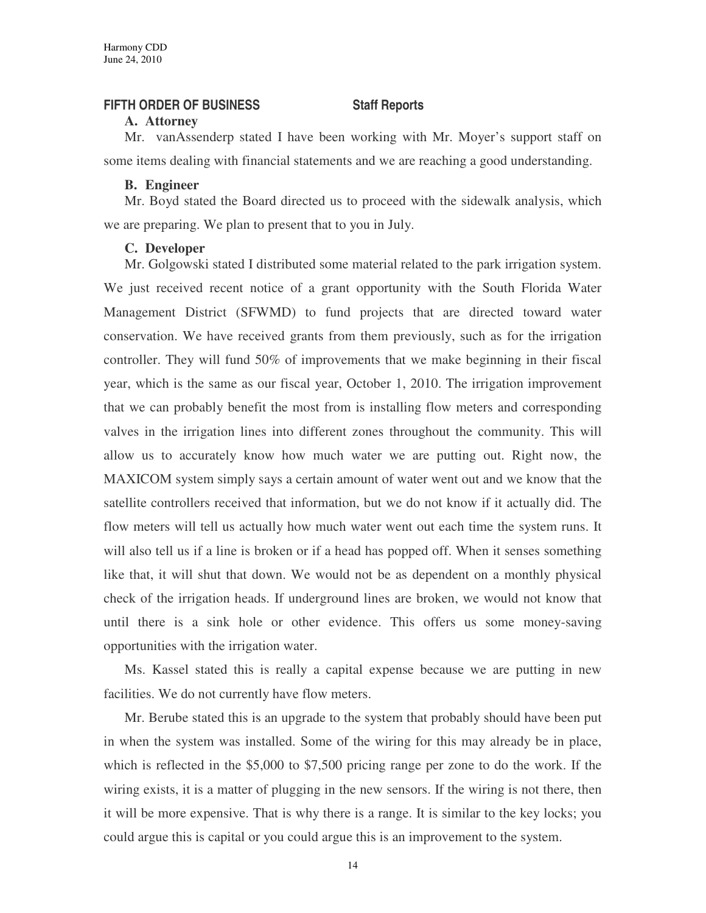#### **FIFTH ORDER OF BUSINESS Staff Reports**

#### **A. Attorney**

Mr. vanAssenderp stated I have been working with Mr. Moyer's support staff on some items dealing with financial statements and we are reaching a good understanding.

#### **B. Engineer**

Mr. Boyd stated the Board directed us to proceed with the sidewalk analysis, which we are preparing. We plan to present that to you in July.

#### **C. Developer**

Mr. Golgowski stated I distributed some material related to the park irrigation system. We just received recent notice of a grant opportunity with the South Florida Water Management District (SFWMD) to fund projects that are directed toward water conservation. We have received grants from them previously, such as for the irrigation controller. They will fund 50% of improvements that we make beginning in their fiscal year, which is the same as our fiscal year, October 1, 2010. The irrigation improvement that we can probably benefit the most from is installing flow meters and corresponding valves in the irrigation lines into different zones throughout the community. This will allow us to accurately know how much water we are putting out. Right now, the MAXICOM system simply says a certain amount of water went out and we know that the satellite controllers received that information, but we do not know if it actually did. The flow meters will tell us actually how much water went out each time the system runs. It will also tell us if a line is broken or if a head has popped off. When it senses something like that, it will shut that down. We would not be as dependent on a monthly physical check of the irrigation heads. If underground lines are broken, we would not know that until there is a sink hole or other evidence. This offers us some money-saving opportunities with the irrigation water.

Ms. Kassel stated this is really a capital expense because we are putting in new facilities. We do not currently have flow meters.

Mr. Berube stated this is an upgrade to the system that probably should have been put in when the system was installed. Some of the wiring for this may already be in place, which is reflected in the \$5,000 to \$7,500 pricing range per zone to do the work. If the wiring exists, it is a matter of plugging in the new sensors. If the wiring is not there, then it will be more expensive. That is why there is a range. It is similar to the key locks; you could argue this is capital or you could argue this is an improvement to the system.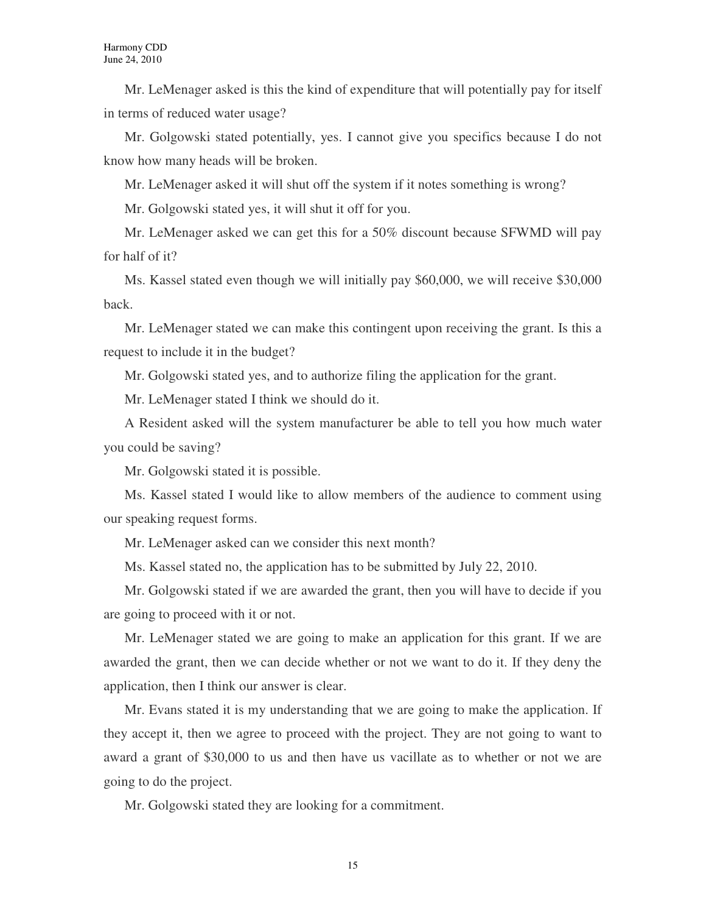Mr. LeMenager asked is this the kind of expenditure that will potentially pay for itself in terms of reduced water usage?

Mr. Golgowski stated potentially, yes. I cannot give you specifics because I do not know how many heads will be broken.

Mr. LeMenager asked it will shut off the system if it notes something is wrong?

Mr. Golgowski stated yes, it will shut it off for you.

Mr. LeMenager asked we can get this for a 50% discount because SFWMD will pay for half of it?

Ms. Kassel stated even though we will initially pay \$60,000, we will receive \$30,000 back.

Mr. LeMenager stated we can make this contingent upon receiving the grant. Is this a request to include it in the budget?

Mr. Golgowski stated yes, and to authorize filing the application for the grant.

Mr. LeMenager stated I think we should do it.

A Resident asked will the system manufacturer be able to tell you how much water you could be saving?

Mr. Golgowski stated it is possible.

Ms. Kassel stated I would like to allow members of the audience to comment using our speaking request forms.

Mr. LeMenager asked can we consider this next month?

Ms. Kassel stated no, the application has to be submitted by July 22, 2010.

Mr. Golgowski stated if we are awarded the grant, then you will have to decide if you are going to proceed with it or not.

Mr. LeMenager stated we are going to make an application for this grant. If we are awarded the grant, then we can decide whether or not we want to do it. If they deny the application, then I think our answer is clear.

Mr. Evans stated it is my understanding that we are going to make the application. If they accept it, then we agree to proceed with the project. They are not going to want to award a grant of \$30,000 to us and then have us vacillate as to whether or not we are going to do the project.

Mr. Golgowski stated they are looking for a commitment.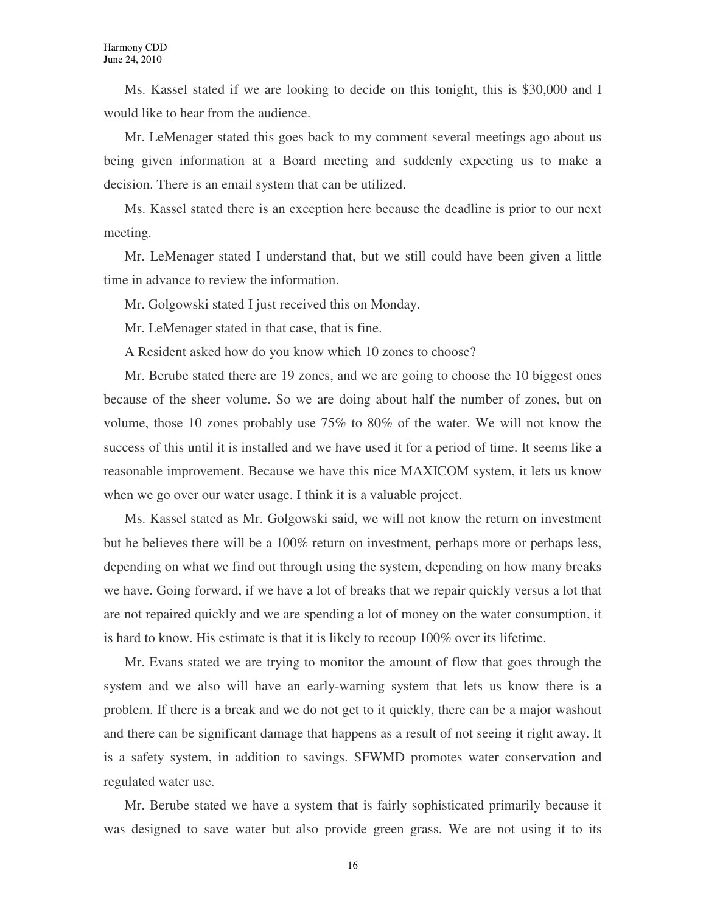Ms. Kassel stated if we are looking to decide on this tonight, this is \$30,000 and I would like to hear from the audience.

Mr. LeMenager stated this goes back to my comment several meetings ago about us being given information at a Board meeting and suddenly expecting us to make a decision. There is an email system that can be utilized.

Ms. Kassel stated there is an exception here because the deadline is prior to our next meeting.

Mr. LeMenager stated I understand that, but we still could have been given a little time in advance to review the information.

Mr. Golgowski stated I just received this on Monday.

Mr. LeMenager stated in that case, that is fine.

A Resident asked how do you know which 10 zones to choose?

Mr. Berube stated there are 19 zones, and we are going to choose the 10 biggest ones because of the sheer volume. So we are doing about half the number of zones, but on volume, those 10 zones probably use 75% to 80% of the water. We will not know the success of this until it is installed and we have used it for a period of time. It seems like a reasonable improvement. Because we have this nice MAXICOM system, it lets us know when we go over our water usage. I think it is a valuable project.

Ms. Kassel stated as Mr. Golgowski said, we will not know the return on investment but he believes there will be a 100% return on investment, perhaps more or perhaps less, depending on what we find out through using the system, depending on how many breaks we have. Going forward, if we have a lot of breaks that we repair quickly versus a lot that are not repaired quickly and we are spending a lot of money on the water consumption, it is hard to know. His estimate is that it is likely to recoup 100% over its lifetime.

Mr. Evans stated we are trying to monitor the amount of flow that goes through the system and we also will have an early-warning system that lets us know there is a problem. If there is a break and we do not get to it quickly, there can be a major washout and there can be significant damage that happens as a result of not seeing it right away. It is a safety system, in addition to savings. SFWMD promotes water conservation and regulated water use.

Mr. Berube stated we have a system that is fairly sophisticated primarily because it was designed to save water but also provide green grass. We are not using it to its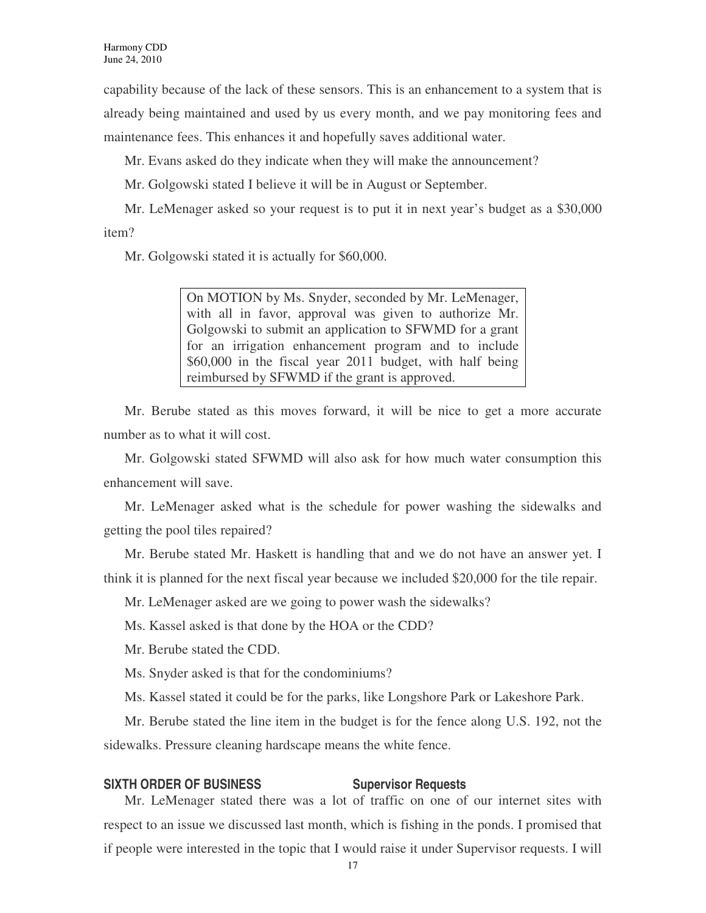capability because of the lack of these sensors. This is an enhancement to a system that is already being maintained and used by us every month, and we pay monitoring fees and maintenance fees. This enhances it and hopefully saves additional water.

Mr. Evans asked do they indicate when they will make the announcement?

Mr. Golgowski stated I believe it will be in August or September.

Mr. LeMenager asked so your request is to put it in next year's budget as a \$30,000 item?

Mr. Golgowski stated it is actually for \$60,000.

On MOTION by Ms. Snyder, seconded by Mr. LeMenager, with all in favor, approval was given to authorize Mr. Golgowski to submit an application to SFWMD for a grant for an irrigation enhancement program and to include \$60,000 in the fiscal year 2011 budget, with half being reimbursed by SFWMD if the grant is approved.

Mr. Berube stated as this moves forward, it will be nice to get a more accurate number as to what it will cost.

Mr. Golgowski stated SFWMD will also ask for how much water consumption this enhancement will save.

Mr. LeMenager asked what is the schedule for power washing the sidewalks and getting the pool tiles repaired?

Mr. Berube stated Mr. Haskett is handling that and we do not have an answer yet. I think it is planned for the next fiscal year because we included \$20,000 for the tile repair.

Mr. LeMenager asked are we going to power wash the sidewalks?

Ms. Kassel asked is that done by the HOA or the CDD?

Mr. Berube stated the CDD.

Ms. Snyder asked is that for the condominiums?

Ms. Kassel stated it could be for the parks, like Longshore Park or Lakeshore Park.

Mr. Berube stated the line item in the budget is for the fence along U.S. 192, not the sidewalks. Pressure cleaning hardscape means the white fence.

#### **SIXTH ORDER OF BUSINESS Supervisor Requests**

Mr. LeMenager stated there was a lot of traffic on one of our internet sites with respect to an issue we discussed last month, which is fishing in the ponds. I promised that if people were interested in the topic that I would raise it under Supervisor requests. I will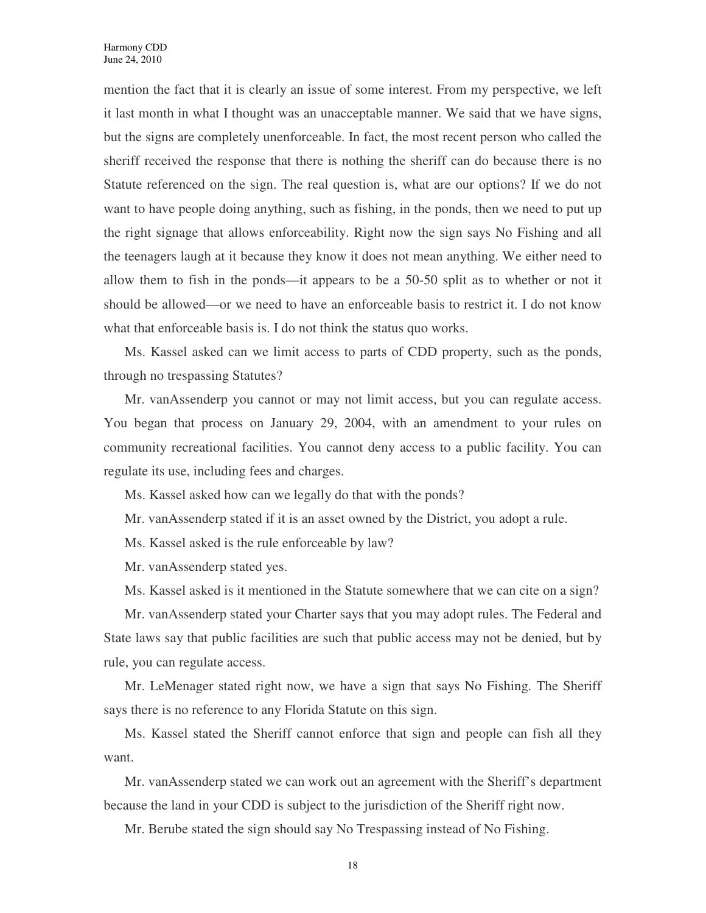mention the fact that it is clearly an issue of some interest. From my perspective, we left it last month in what I thought was an unacceptable manner. We said that we have signs, but the signs are completely unenforceable. In fact, the most recent person who called the sheriff received the response that there is nothing the sheriff can do because there is no Statute referenced on the sign. The real question is, what are our options? If we do not want to have people doing anything, such as fishing, in the ponds, then we need to put up the right signage that allows enforceability. Right now the sign says No Fishing and all the teenagers laugh at it because they know it does not mean anything. We either need to allow them to fish in the ponds—it appears to be a 50-50 split as to whether or not it should be allowed—or we need to have an enforceable basis to restrict it. I do not know what that enforceable basis is. I do not think the status quo works.

Ms. Kassel asked can we limit access to parts of CDD property, such as the ponds, through no trespassing Statutes?

Mr. vanAssenderp you cannot or may not limit access, but you can regulate access. You began that process on January 29, 2004, with an amendment to your rules on community recreational facilities. You cannot deny access to a public facility. You can regulate its use, including fees and charges.

Ms. Kassel asked how can we legally do that with the ponds?

Mr. vanAssenderp stated if it is an asset owned by the District, you adopt a rule.

Ms. Kassel asked is the rule enforceable by law?

Mr. vanAssenderp stated yes.

Ms. Kassel asked is it mentioned in the Statute somewhere that we can cite on a sign?

Mr. vanAssenderp stated your Charter says that you may adopt rules. The Federal and State laws say that public facilities are such that public access may not be denied, but by rule, you can regulate access.

Mr. LeMenager stated right now, we have a sign that says No Fishing. The Sheriff says there is no reference to any Florida Statute on this sign.

Ms. Kassel stated the Sheriff cannot enforce that sign and people can fish all they want.

Mr. vanAssenderp stated we can work out an agreement with the Sheriff's department because the land in your CDD is subject to the jurisdiction of the Sheriff right now.

Mr. Berube stated the sign should say No Trespassing instead of No Fishing.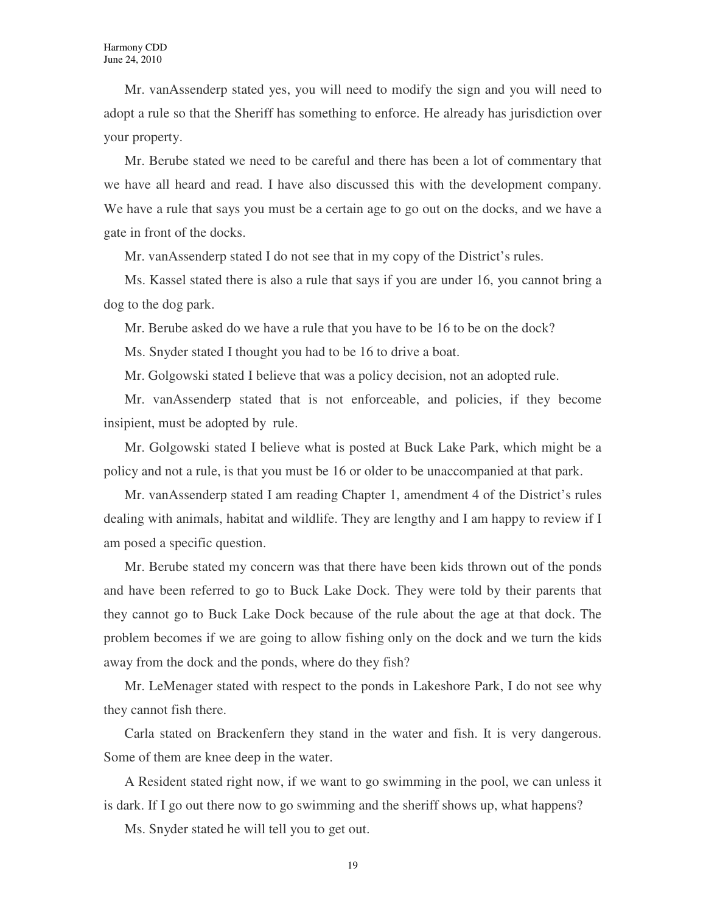Mr. vanAssenderp stated yes, you will need to modify the sign and you will need to adopt a rule so that the Sheriff has something to enforce. He already has jurisdiction over your property.

Mr. Berube stated we need to be careful and there has been a lot of commentary that we have all heard and read. I have also discussed this with the development company. We have a rule that says you must be a certain age to go out on the docks, and we have a gate in front of the docks.

Mr. vanAssenderp stated I do not see that in my copy of the District's rules.

Ms. Kassel stated there is also a rule that says if you are under 16, you cannot bring a dog to the dog park.

Mr. Berube asked do we have a rule that you have to be 16 to be on the dock?

Ms. Snyder stated I thought you had to be 16 to drive a boat.

Mr. Golgowski stated I believe that was a policy decision, not an adopted rule.

Mr. vanAssenderp stated that is not enforceable, and policies, if they become insipient, must be adopted by rule.

Mr. Golgowski stated I believe what is posted at Buck Lake Park, which might be a policy and not a rule, is that you must be 16 or older to be unaccompanied at that park.

Mr. vanAssenderp stated I am reading Chapter 1, amendment 4 of the District's rules dealing with animals, habitat and wildlife. They are lengthy and I am happy to review if I am posed a specific question.

Mr. Berube stated my concern was that there have been kids thrown out of the ponds and have been referred to go to Buck Lake Dock. They were told by their parents that they cannot go to Buck Lake Dock because of the rule about the age at that dock. The problem becomes if we are going to allow fishing only on the dock and we turn the kids away from the dock and the ponds, where do they fish?

Mr. LeMenager stated with respect to the ponds in Lakeshore Park, I do not see why they cannot fish there.

Carla stated on Brackenfern they stand in the water and fish. It is very dangerous. Some of them are knee deep in the water.

A Resident stated right now, if we want to go swimming in the pool, we can unless it is dark. If I go out there now to go swimming and the sheriff shows up, what happens?

Ms. Snyder stated he will tell you to get out.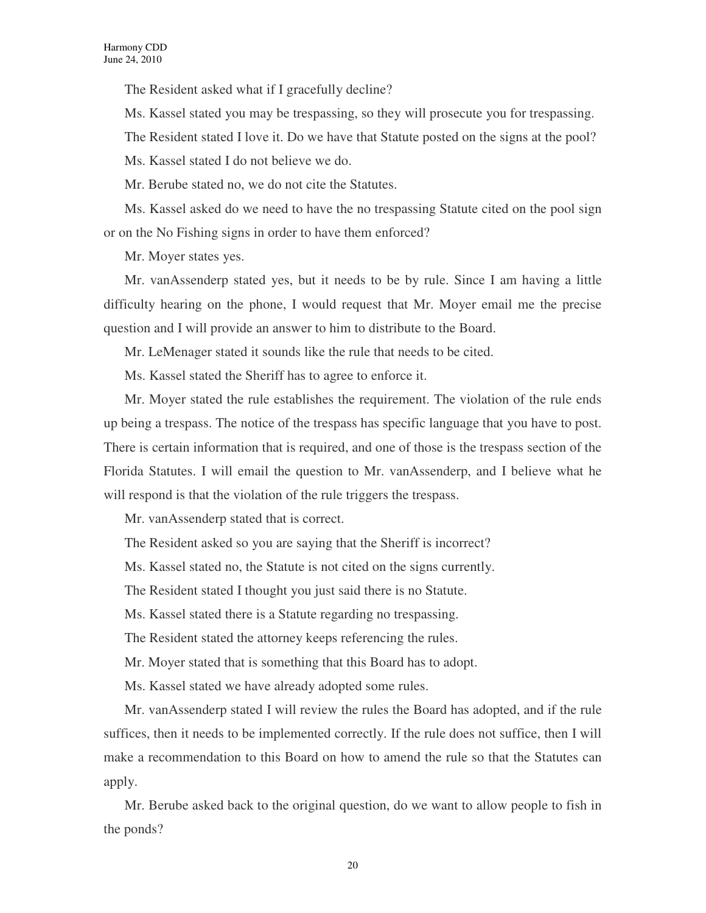The Resident asked what if I gracefully decline?

Ms. Kassel stated you may be trespassing, so they will prosecute you for trespassing.

The Resident stated I love it. Do we have that Statute posted on the signs at the pool?

Ms. Kassel stated I do not believe we do.

Mr. Berube stated no, we do not cite the Statutes.

Ms. Kassel asked do we need to have the no trespassing Statute cited on the pool sign or on the No Fishing signs in order to have them enforced?

Mr. Moyer states yes.

Mr. vanAssenderp stated yes, but it needs to be by rule. Since I am having a little difficulty hearing on the phone, I would request that Mr. Moyer email me the precise question and I will provide an answer to him to distribute to the Board.

Mr. LeMenager stated it sounds like the rule that needs to be cited.

Ms. Kassel stated the Sheriff has to agree to enforce it.

Mr. Moyer stated the rule establishes the requirement. The violation of the rule ends up being a trespass. The notice of the trespass has specific language that you have to post. There is certain information that is required, and one of those is the trespass section of the Florida Statutes. I will email the question to Mr. vanAssenderp, and I believe what he will respond is that the violation of the rule triggers the trespass.

Mr. vanAssenderp stated that is correct.

The Resident asked so you are saying that the Sheriff is incorrect?

Ms. Kassel stated no, the Statute is not cited on the signs currently.

The Resident stated I thought you just said there is no Statute.

Ms. Kassel stated there is a Statute regarding no trespassing.

The Resident stated the attorney keeps referencing the rules.

Mr. Moyer stated that is something that this Board has to adopt.

Ms. Kassel stated we have already adopted some rules.

Mr. vanAssenderp stated I will review the rules the Board has adopted, and if the rule suffices, then it needs to be implemented correctly. If the rule does not suffice, then I will make a recommendation to this Board on how to amend the rule so that the Statutes can apply.

Mr. Berube asked back to the original question, do we want to allow people to fish in the ponds?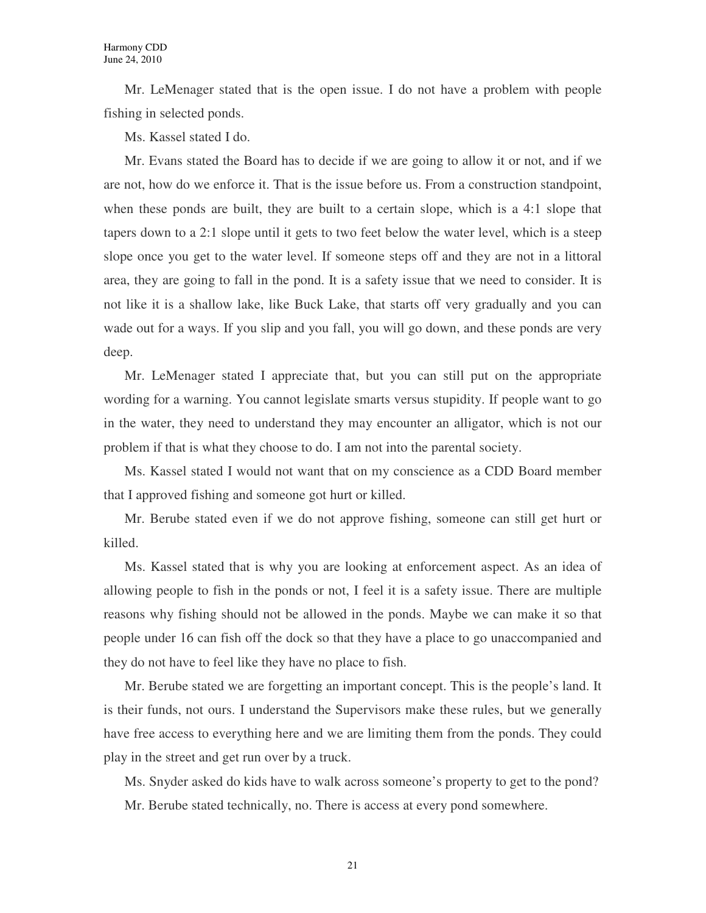Mr. LeMenager stated that is the open issue. I do not have a problem with people fishing in selected ponds.

Ms. Kassel stated I do.

Mr. Evans stated the Board has to decide if we are going to allow it or not, and if we are not, how do we enforce it. That is the issue before us. From a construction standpoint, when these ponds are built, they are built to a certain slope, which is a 4:1 slope that tapers down to a 2:1 slope until it gets to two feet below the water level, which is a steep slope once you get to the water level. If someone steps off and they are not in a littoral area, they are going to fall in the pond. It is a safety issue that we need to consider. It is not like it is a shallow lake, like Buck Lake, that starts off very gradually and you can wade out for a ways. If you slip and you fall, you will go down, and these ponds are very deep.

Mr. LeMenager stated I appreciate that, but you can still put on the appropriate wording for a warning. You cannot legislate smarts versus stupidity. If people want to go in the water, they need to understand they may encounter an alligator, which is not our problem if that is what they choose to do. I am not into the parental society.

Ms. Kassel stated I would not want that on my conscience as a CDD Board member that I approved fishing and someone got hurt or killed.

Mr. Berube stated even if we do not approve fishing, someone can still get hurt or killed.

Ms. Kassel stated that is why you are looking at enforcement aspect. As an idea of allowing people to fish in the ponds or not, I feel it is a safety issue. There are multiple reasons why fishing should not be allowed in the ponds. Maybe we can make it so that people under 16 can fish off the dock so that they have a place to go unaccompanied and they do not have to feel like they have no place to fish.

Mr. Berube stated we are forgetting an important concept. This is the people's land. It is their funds, not ours. I understand the Supervisors make these rules, but we generally have free access to everything here and we are limiting them from the ponds. They could play in the street and get run over by a truck.

Ms. Snyder asked do kids have to walk across someone's property to get to the pond? Mr. Berube stated technically, no. There is access at every pond somewhere.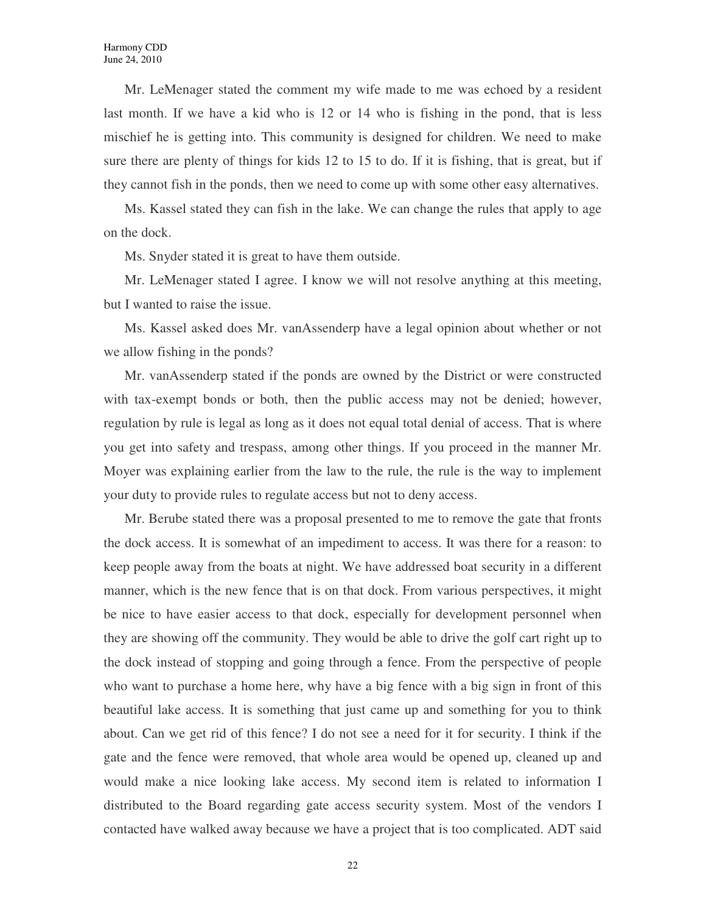Mr. LeMenager stated the comment my wife made to me was echoed by a resident last month. If we have a kid who is 12 or 14 who is fishing in the pond, that is less mischief he is getting into. This community is designed for children. We need to make sure there are plenty of things for kids 12 to 15 to do. If it is fishing, that is great, but if they cannot fish in the ponds, then we need to come up with some other easy alternatives.

Ms. Kassel stated they can fish in the lake. We can change the rules that apply to age on the dock.

Ms. Snyder stated it is great to have them outside.

Mr. LeMenager stated I agree. I know we will not resolve anything at this meeting, but I wanted to raise the issue.

Ms. Kassel asked does Mr. vanAssenderp have a legal opinion about whether or not we allow fishing in the ponds?

Mr. vanAssenderp stated if the ponds are owned by the District or were constructed with tax-exempt bonds or both, then the public access may not be denied; however, regulation by rule is legal as long as it does not equal total denial of access. That is where you get into safety and trespass, among other things. If you proceed in the manner Mr. Moyer was explaining earlier from the law to the rule, the rule is the way to implement your duty to provide rules to regulate access but not to deny access.

Mr. Berube stated there was a proposal presented to me to remove the gate that fronts the dock access. It is somewhat of an impediment to access. It was there for a reason: to keep people away from the boats at night. We have addressed boat security in a different manner, which is the new fence that is on that dock. From various perspectives, it might be nice to have easier access to that dock, especially for development personnel when they are showing off the community. They would be able to drive the golf cart right up to the dock instead of stopping and going through a fence. From the perspective of people who want to purchase a home here, why have a big fence with a big sign in front of this beautiful lake access. It is something that just came up and something for you to think about. Can we get rid of this fence? I do not see a need for it for security. I think if the gate and the fence were removed, that whole area would be opened up, cleaned up and would make a nice looking lake access. My second item is related to information I distributed to the Board regarding gate access security system. Most of the vendors I contacted have walked away because we have a project that is too complicated. ADT said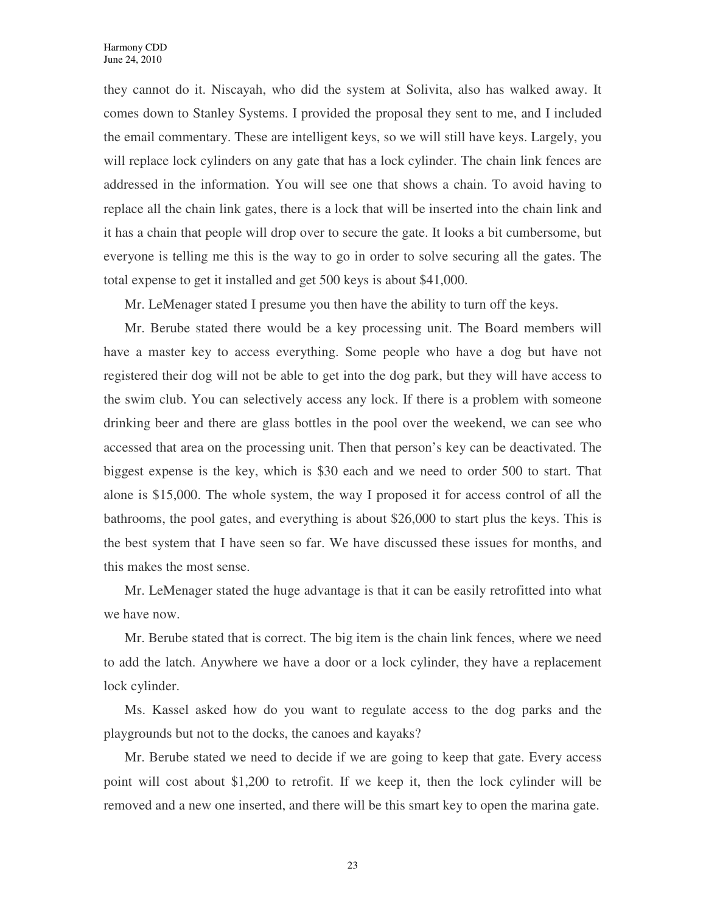they cannot do it. Niscayah, who did the system at Solivita, also has walked away. It comes down to Stanley Systems. I provided the proposal they sent to me, and I included the email commentary. These are intelligent keys, so we will still have keys. Largely, you will replace lock cylinders on any gate that has a lock cylinder. The chain link fences are addressed in the information. You will see one that shows a chain. To avoid having to replace all the chain link gates, there is a lock that will be inserted into the chain link and it has a chain that people will drop over to secure the gate. It looks a bit cumbersome, but everyone is telling me this is the way to go in order to solve securing all the gates. The total expense to get it installed and get 500 keys is about \$41,000.

Mr. LeMenager stated I presume you then have the ability to turn off the keys.

Mr. Berube stated there would be a key processing unit. The Board members will have a master key to access everything. Some people who have a dog but have not registered their dog will not be able to get into the dog park, but they will have access to the swim club. You can selectively access any lock. If there is a problem with someone drinking beer and there are glass bottles in the pool over the weekend, we can see who accessed that area on the processing unit. Then that person's key can be deactivated. The biggest expense is the key, which is \$30 each and we need to order 500 to start. That alone is \$15,000. The whole system, the way I proposed it for access control of all the bathrooms, the pool gates, and everything is about \$26,000 to start plus the keys. This is the best system that I have seen so far. We have discussed these issues for months, and this makes the most sense.

Mr. LeMenager stated the huge advantage is that it can be easily retrofitted into what we have now.

Mr. Berube stated that is correct. The big item is the chain link fences, where we need to add the latch. Anywhere we have a door or a lock cylinder, they have a replacement lock cylinder.

Ms. Kassel asked how do you want to regulate access to the dog parks and the playgrounds but not to the docks, the canoes and kayaks?

Mr. Berube stated we need to decide if we are going to keep that gate. Every access point will cost about \$1,200 to retrofit. If we keep it, then the lock cylinder will be removed and a new one inserted, and there will be this smart key to open the marina gate.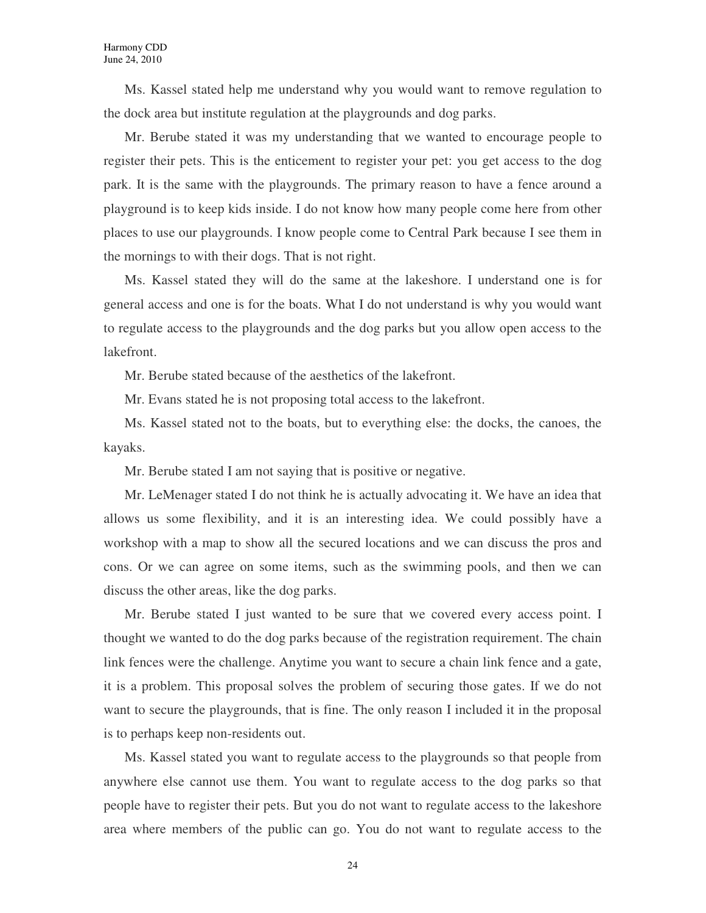Ms. Kassel stated help me understand why you would want to remove regulation to the dock area but institute regulation at the playgrounds and dog parks.

Mr. Berube stated it was my understanding that we wanted to encourage people to register their pets. This is the enticement to register your pet: you get access to the dog park. It is the same with the playgrounds. The primary reason to have a fence around a playground is to keep kids inside. I do not know how many people come here from other places to use our playgrounds. I know people come to Central Park because I see them in the mornings to with their dogs. That is not right.

Ms. Kassel stated they will do the same at the lakeshore. I understand one is for general access and one is for the boats. What I do not understand is why you would want to regulate access to the playgrounds and the dog parks but you allow open access to the lakefront.

Mr. Berube stated because of the aesthetics of the lakefront.

Mr. Evans stated he is not proposing total access to the lakefront.

Ms. Kassel stated not to the boats, but to everything else: the docks, the canoes, the kayaks.

Mr. Berube stated I am not saying that is positive or negative.

Mr. LeMenager stated I do not think he is actually advocating it. We have an idea that allows us some flexibility, and it is an interesting idea. We could possibly have a workshop with a map to show all the secured locations and we can discuss the pros and cons. Or we can agree on some items, such as the swimming pools, and then we can discuss the other areas, like the dog parks.

Mr. Berube stated I just wanted to be sure that we covered every access point. I thought we wanted to do the dog parks because of the registration requirement. The chain link fences were the challenge. Anytime you want to secure a chain link fence and a gate, it is a problem. This proposal solves the problem of securing those gates. If we do not want to secure the playgrounds, that is fine. The only reason I included it in the proposal is to perhaps keep non-residents out.

Ms. Kassel stated you want to regulate access to the playgrounds so that people from anywhere else cannot use them. You want to regulate access to the dog parks so that people have to register their pets. But you do not want to regulate access to the lakeshore area where members of the public can go. You do not want to regulate access to the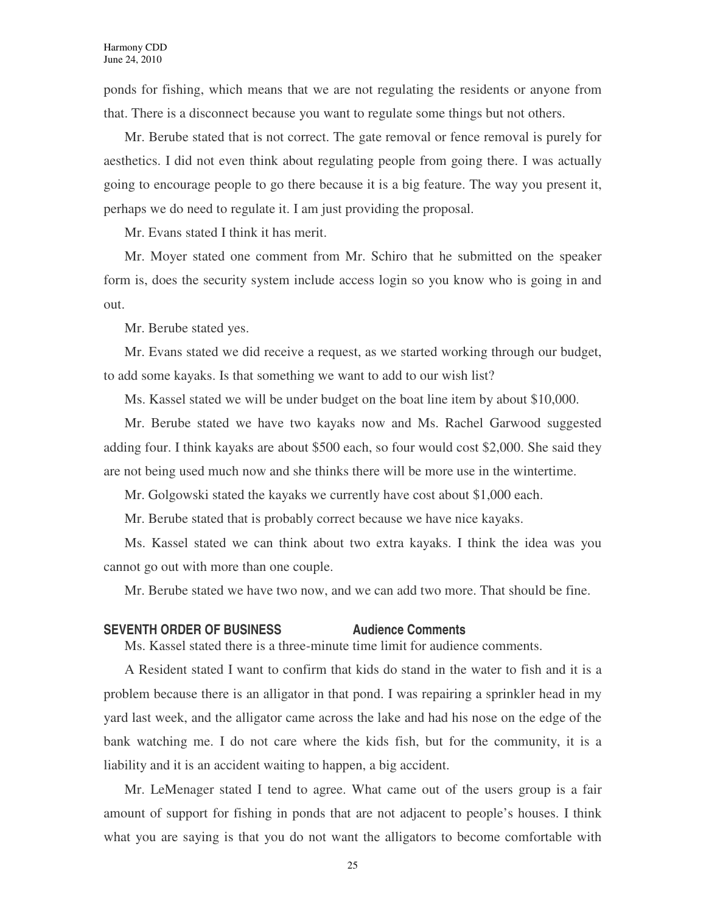ponds for fishing, which means that we are not regulating the residents or anyone from that. There is a disconnect because you want to regulate some things but not others.

Mr. Berube stated that is not correct. The gate removal or fence removal is purely for aesthetics. I did not even think about regulating people from going there. I was actually going to encourage people to go there because it is a big feature. The way you present it, perhaps we do need to regulate it. I am just providing the proposal.

Mr. Evans stated I think it has merit.

Mr. Moyer stated one comment from Mr. Schiro that he submitted on the speaker form is, does the security system include access login so you know who is going in and out.

Mr. Berube stated yes.

Mr. Evans stated we did receive a request, as we started working through our budget, to add some kayaks. Is that something we want to add to our wish list?

Ms. Kassel stated we will be under budget on the boat line item by about \$10,000.

Mr. Berube stated we have two kayaks now and Ms. Rachel Garwood suggested adding four. I think kayaks are about \$500 each, so four would cost \$2,000. She said they are not being used much now and she thinks there will be more use in the wintertime.

Mr. Golgowski stated the kayaks we currently have cost about \$1,000 each.

Mr. Berube stated that is probably correct because we have nice kayaks.

Ms. Kassel stated we can think about two extra kayaks. I think the idea was you cannot go out with more than one couple.

Mr. Berube stated we have two now, and we can add two more. That should be fine.

#### **SEVENTH ORDER OF BUSINESS Audience Comments**

Ms. Kassel stated there is a three-minute time limit for audience comments.

A Resident stated I want to confirm that kids do stand in the water to fish and it is a problem because there is an alligator in that pond. I was repairing a sprinkler head in my yard last week, and the alligator came across the lake and had his nose on the edge of the bank watching me. I do not care where the kids fish, but for the community, it is a liability and it is an accident waiting to happen, a big accident.

Mr. LeMenager stated I tend to agree. What came out of the users group is a fair amount of support for fishing in ponds that are not adjacent to people's houses. I think what you are saying is that you do not want the alligators to become comfortable with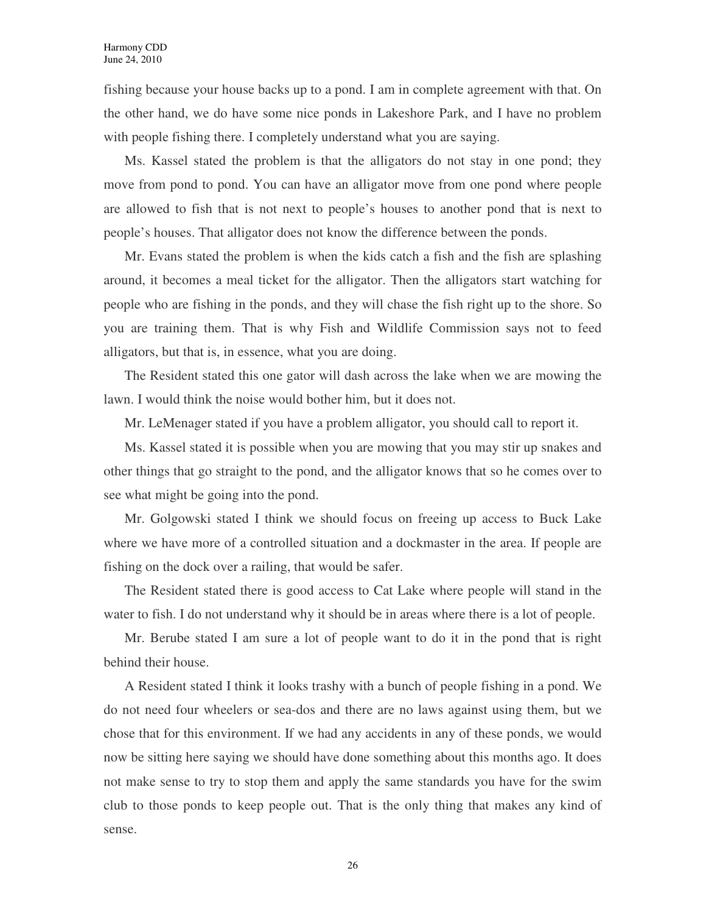fishing because your house backs up to a pond. I am in complete agreement with that. On the other hand, we do have some nice ponds in Lakeshore Park, and I have no problem with people fishing there. I completely understand what you are saying.

Ms. Kassel stated the problem is that the alligators do not stay in one pond; they move from pond to pond. You can have an alligator move from one pond where people are allowed to fish that is not next to people's houses to another pond that is next to people's houses. That alligator does not know the difference between the ponds.

Mr. Evans stated the problem is when the kids catch a fish and the fish are splashing around, it becomes a meal ticket for the alligator. Then the alligators start watching for people who are fishing in the ponds, and they will chase the fish right up to the shore. So you are training them. That is why Fish and Wildlife Commission says not to feed alligators, but that is, in essence, what you are doing.

The Resident stated this one gator will dash across the lake when we are mowing the lawn. I would think the noise would bother him, but it does not.

Mr. LeMenager stated if you have a problem alligator, you should call to report it.

Ms. Kassel stated it is possible when you are mowing that you may stir up snakes and other things that go straight to the pond, and the alligator knows that so he comes over to see what might be going into the pond.

Mr. Golgowski stated I think we should focus on freeing up access to Buck Lake where we have more of a controlled situation and a dockmaster in the area. If people are fishing on the dock over a railing, that would be safer.

The Resident stated there is good access to Cat Lake where people will stand in the water to fish. I do not understand why it should be in areas where there is a lot of people.

Mr. Berube stated I am sure a lot of people want to do it in the pond that is right behind their house.

A Resident stated I think it looks trashy with a bunch of people fishing in a pond. We do not need four wheelers or sea-dos and there are no laws against using them, but we chose that for this environment. If we had any accidents in any of these ponds, we would now be sitting here saying we should have done something about this months ago. It does not make sense to try to stop them and apply the same standards you have for the swim club to those ponds to keep people out. That is the only thing that makes any kind of sense.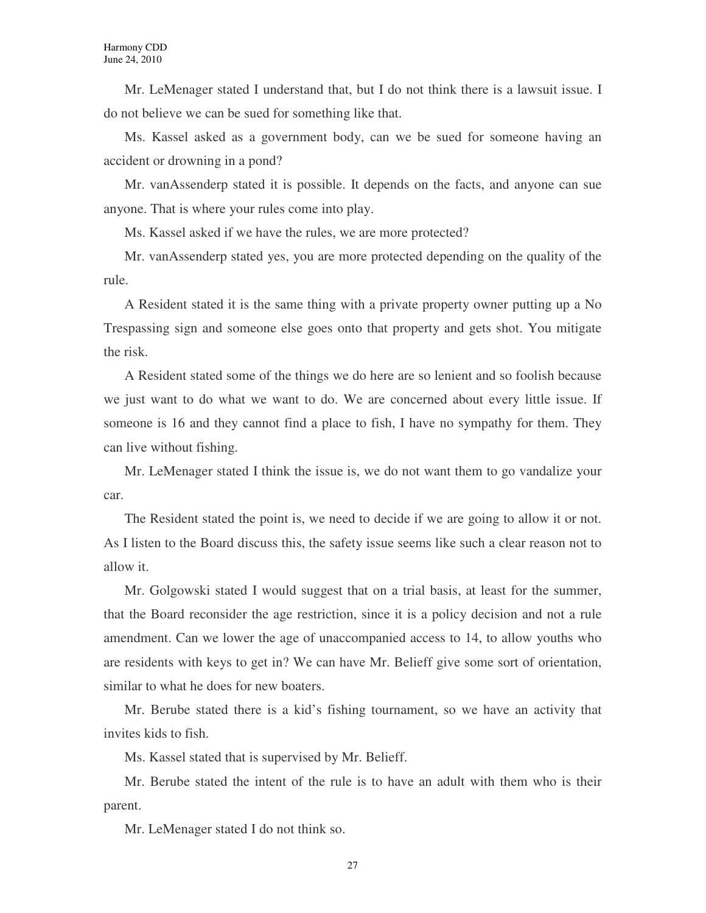Mr. LeMenager stated I understand that, but I do not think there is a lawsuit issue. I do not believe we can be sued for something like that.

Ms. Kassel asked as a government body, can we be sued for someone having an accident or drowning in a pond?

Mr. vanAssenderp stated it is possible. It depends on the facts, and anyone can sue anyone. That is where your rules come into play.

Ms. Kassel asked if we have the rules, we are more protected?

Mr. vanAssenderp stated yes, you are more protected depending on the quality of the rule.

A Resident stated it is the same thing with a private property owner putting up a No Trespassing sign and someone else goes onto that property and gets shot. You mitigate the risk.

A Resident stated some of the things we do here are so lenient and so foolish because we just want to do what we want to do. We are concerned about every little issue. If someone is 16 and they cannot find a place to fish, I have no sympathy for them. They can live without fishing.

Mr. LeMenager stated I think the issue is, we do not want them to go vandalize your car.

The Resident stated the point is, we need to decide if we are going to allow it or not. As I listen to the Board discuss this, the safety issue seems like such a clear reason not to allow it.

Mr. Golgowski stated I would suggest that on a trial basis, at least for the summer, that the Board reconsider the age restriction, since it is a policy decision and not a rule amendment. Can we lower the age of unaccompanied access to 14, to allow youths who are residents with keys to get in? We can have Mr. Belieff give some sort of orientation, similar to what he does for new boaters.

Mr. Berube stated there is a kid's fishing tournament, so we have an activity that invites kids to fish.

Ms. Kassel stated that is supervised by Mr. Belieff.

Mr. Berube stated the intent of the rule is to have an adult with them who is their parent.

Mr. LeMenager stated I do not think so.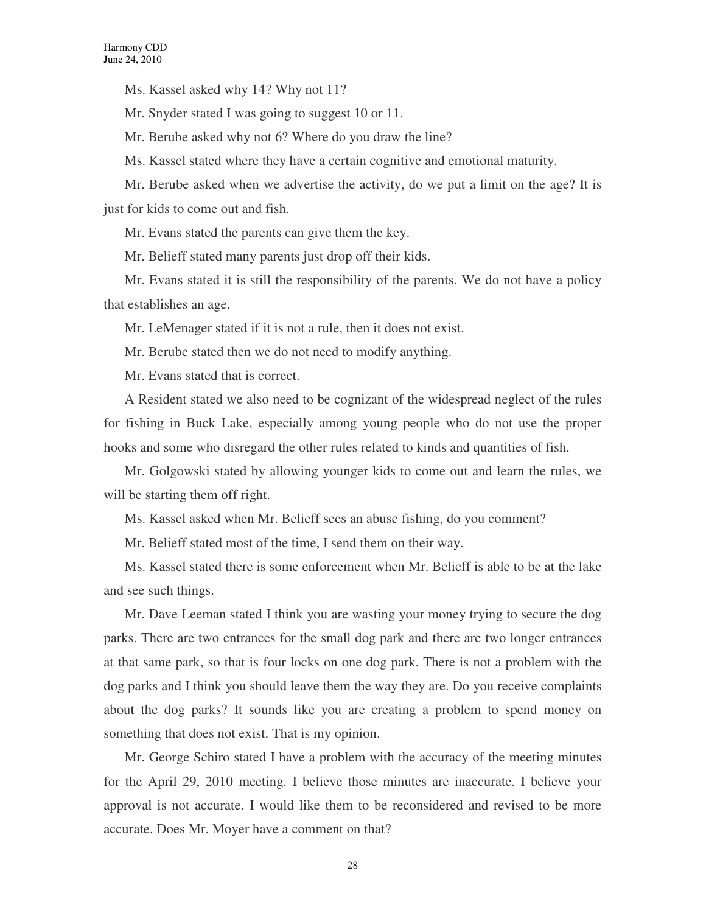Ms. Kassel asked why 14? Why not 11?

Mr. Snyder stated I was going to suggest 10 or 11.

Mr. Berube asked why not 6? Where do you draw the line?

Ms. Kassel stated where they have a certain cognitive and emotional maturity.

Mr. Berube asked when we advertise the activity, do we put a limit on the age? It is just for kids to come out and fish.

Mr. Evans stated the parents can give them the key.

Mr. Belieff stated many parents just drop off their kids.

Mr. Evans stated it is still the responsibility of the parents. We do not have a policy that establishes an age.

Mr. LeMenager stated if it is not a rule, then it does not exist.

Mr. Berube stated then we do not need to modify anything.

Mr. Evans stated that is correct.

A Resident stated we also need to be cognizant of the widespread neglect of the rules for fishing in Buck Lake, especially among young people who do not use the proper hooks and some who disregard the other rules related to kinds and quantities of fish.

Mr. Golgowski stated by allowing younger kids to come out and learn the rules, we will be starting them off right.

Ms. Kassel asked when Mr. Belieff sees an abuse fishing, do you comment?

Mr. Belieff stated most of the time, I send them on their way.

Ms. Kassel stated there is some enforcement when Mr. Belieff is able to be at the lake and see such things.

Mr. Dave Leeman stated I think you are wasting your money trying to secure the dog parks. There are two entrances for the small dog park and there are two longer entrances at that same park, so that is four locks on one dog park. There is not a problem with the dog parks and I think you should leave them the way they are. Do you receive complaints about the dog parks? It sounds like you are creating a problem to spend money on something that does not exist. That is my opinion.

Mr. George Schiro stated I have a problem with the accuracy of the meeting minutes for the April 29, 2010 meeting. I believe those minutes are inaccurate. I believe your approval is not accurate. I would like them to be reconsidered and revised to be more accurate. Does Mr. Moyer have a comment on that?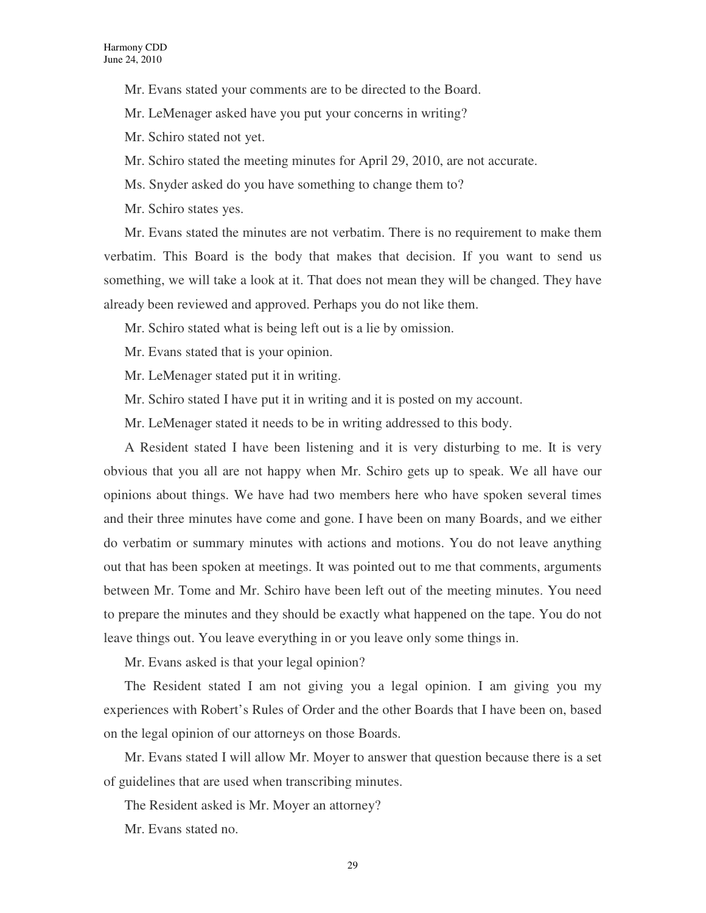Mr. Evans stated your comments are to be directed to the Board.

Mr. LeMenager asked have you put your concerns in writing?

Mr. Schiro stated not yet.

Mr. Schiro stated the meeting minutes for April 29, 2010, are not accurate.

Ms. Snyder asked do you have something to change them to?

Mr. Schiro states yes.

Mr. Evans stated the minutes are not verbatim. There is no requirement to make them verbatim. This Board is the body that makes that decision. If you want to send us something, we will take a look at it. That does not mean they will be changed. They have already been reviewed and approved. Perhaps you do not like them.

Mr. Schiro stated what is being left out is a lie by omission.

Mr. Evans stated that is your opinion.

Mr. LeMenager stated put it in writing.

Mr. Schiro stated I have put it in writing and it is posted on my account.

Mr. LeMenager stated it needs to be in writing addressed to this body.

A Resident stated I have been listening and it is very disturbing to me. It is very obvious that you all are not happy when Mr. Schiro gets up to speak. We all have our opinions about things. We have had two members here who have spoken several times and their three minutes have come and gone. I have been on many Boards, and we either do verbatim or summary minutes with actions and motions. You do not leave anything out that has been spoken at meetings. It was pointed out to me that comments, arguments between Mr. Tome and Mr. Schiro have been left out of the meeting minutes. You need to prepare the minutes and they should be exactly what happened on the tape. You do not leave things out. You leave everything in or you leave only some things in.

Mr. Evans asked is that your legal opinion?

The Resident stated I am not giving you a legal opinion. I am giving you my experiences with Robert's Rules of Order and the other Boards that I have been on, based on the legal opinion of our attorneys on those Boards.

Mr. Evans stated I will allow Mr. Moyer to answer that question because there is a set of guidelines that are used when transcribing minutes.

The Resident asked is Mr. Moyer an attorney?

Mr. Evans stated no.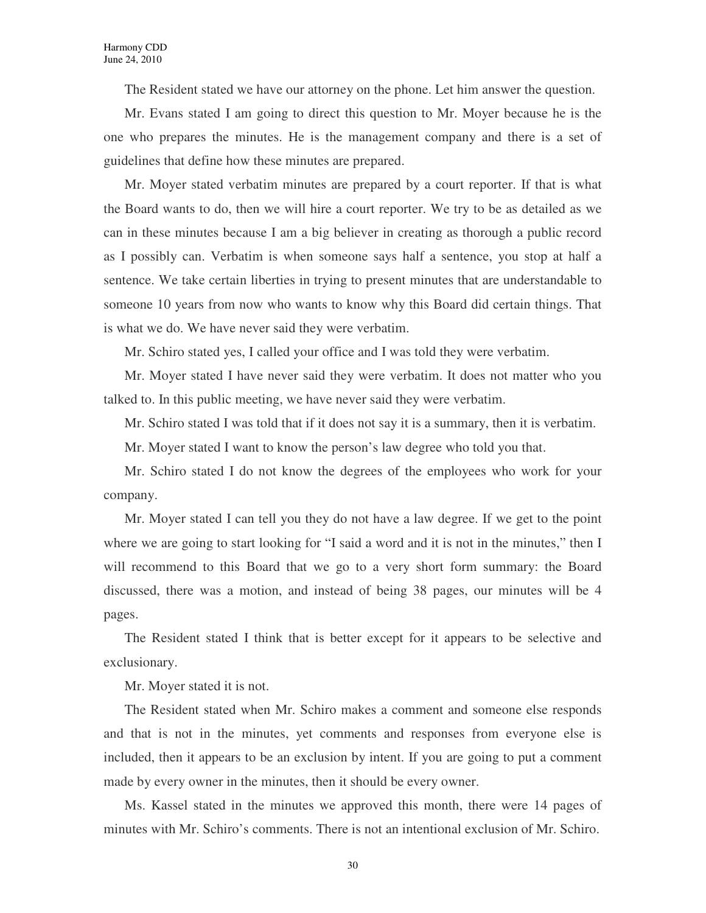The Resident stated we have our attorney on the phone. Let him answer the question.

Mr. Evans stated I am going to direct this question to Mr. Moyer because he is the one who prepares the minutes. He is the management company and there is a set of guidelines that define how these minutes are prepared.

Mr. Moyer stated verbatim minutes are prepared by a court reporter. If that is what the Board wants to do, then we will hire a court reporter. We try to be as detailed as we can in these minutes because I am a big believer in creating as thorough a public record as I possibly can. Verbatim is when someone says half a sentence, you stop at half a sentence. We take certain liberties in trying to present minutes that are understandable to someone 10 years from now who wants to know why this Board did certain things. That is what we do. We have never said they were verbatim.

Mr. Schiro stated yes, I called your office and I was told they were verbatim.

Mr. Moyer stated I have never said they were verbatim. It does not matter who you talked to. In this public meeting, we have never said they were verbatim.

Mr. Schiro stated I was told that if it does not say it is a summary, then it is verbatim.

Mr. Moyer stated I want to know the person's law degree who told you that.

Mr. Schiro stated I do not know the degrees of the employees who work for your company.

Mr. Moyer stated I can tell you they do not have a law degree. If we get to the point where we are going to start looking for "I said a word and it is not in the minutes," then I will recommend to this Board that we go to a very short form summary: the Board discussed, there was a motion, and instead of being 38 pages, our minutes will be 4 pages.

The Resident stated I think that is better except for it appears to be selective and exclusionary.

Mr. Moyer stated it is not.

The Resident stated when Mr. Schiro makes a comment and someone else responds and that is not in the minutes, yet comments and responses from everyone else is included, then it appears to be an exclusion by intent. If you are going to put a comment made by every owner in the minutes, then it should be every owner.

Ms. Kassel stated in the minutes we approved this month, there were 14 pages of minutes with Mr. Schiro's comments. There is not an intentional exclusion of Mr. Schiro.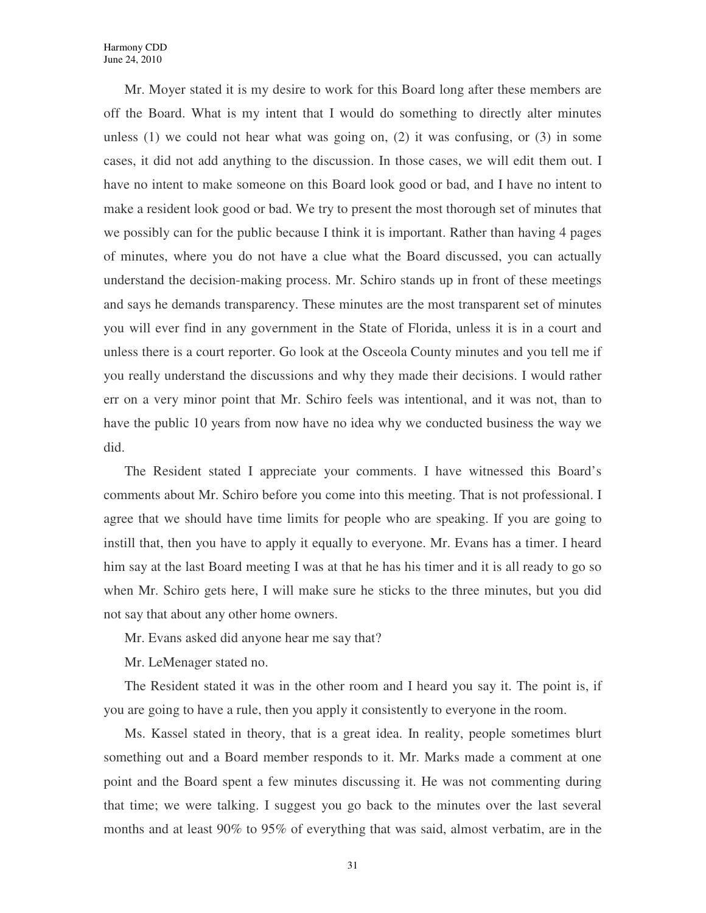Mr. Moyer stated it is my desire to work for this Board long after these members are off the Board. What is my intent that I would do something to directly alter minutes unless  $(1)$  we could not hear what was going on,  $(2)$  it was confusing, or  $(3)$  in some cases, it did not add anything to the discussion. In those cases, we will edit them out. I have no intent to make someone on this Board look good or bad, and I have no intent to make a resident look good or bad. We try to present the most thorough set of minutes that we possibly can for the public because I think it is important. Rather than having 4 pages of minutes, where you do not have a clue what the Board discussed, you can actually understand the decision-making process. Mr. Schiro stands up in front of these meetings and says he demands transparency. These minutes are the most transparent set of minutes you will ever find in any government in the State of Florida, unless it is in a court and unless there is a court reporter. Go look at the Osceola County minutes and you tell me if you really understand the discussions and why they made their decisions. I would rather err on a very minor point that Mr. Schiro feels was intentional, and it was not, than to have the public 10 years from now have no idea why we conducted business the way we did.

The Resident stated I appreciate your comments. I have witnessed this Board's comments about Mr. Schiro before you come into this meeting. That is not professional. I agree that we should have time limits for people who are speaking. If you are going to instill that, then you have to apply it equally to everyone. Mr. Evans has a timer. I heard him say at the last Board meeting I was at that he has his timer and it is all ready to go so when Mr. Schiro gets here, I will make sure he sticks to the three minutes, but you did not say that about any other home owners.

Mr. Evans asked did anyone hear me say that?

Mr. LeMenager stated no.

The Resident stated it was in the other room and I heard you say it. The point is, if you are going to have a rule, then you apply it consistently to everyone in the room.

Ms. Kassel stated in theory, that is a great idea. In reality, people sometimes blurt something out and a Board member responds to it. Mr. Marks made a comment at one point and the Board spent a few minutes discussing it. He was not commenting during that time; we were talking. I suggest you go back to the minutes over the last several months and at least 90% to 95% of everything that was said, almost verbatim, are in the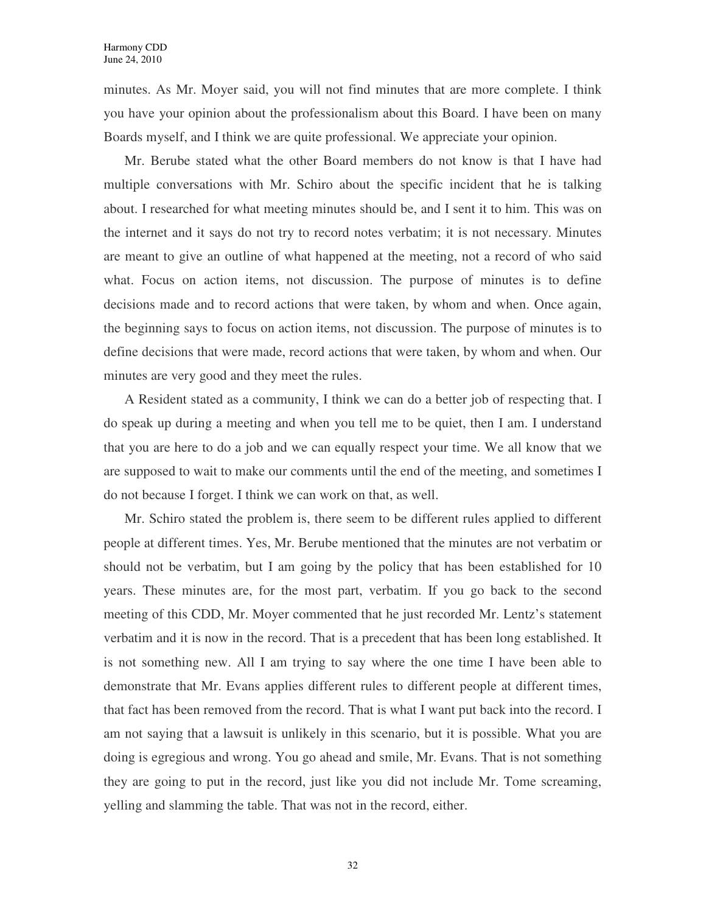minutes. As Mr. Moyer said, you will not find minutes that are more complete. I think you have your opinion about the professionalism about this Board. I have been on many Boards myself, and I think we are quite professional. We appreciate your opinion.

Mr. Berube stated what the other Board members do not know is that I have had multiple conversations with Mr. Schiro about the specific incident that he is talking about. I researched for what meeting minutes should be, and I sent it to him. This was on the internet and it says do not try to record notes verbatim; it is not necessary. Minutes are meant to give an outline of what happened at the meeting, not a record of who said what. Focus on action items, not discussion. The purpose of minutes is to define decisions made and to record actions that were taken, by whom and when. Once again, the beginning says to focus on action items, not discussion. The purpose of minutes is to define decisions that were made, record actions that were taken, by whom and when. Our minutes are very good and they meet the rules.

A Resident stated as a community, I think we can do a better job of respecting that. I do speak up during a meeting and when you tell me to be quiet, then I am. I understand that you are here to do a job and we can equally respect your time. We all know that we are supposed to wait to make our comments until the end of the meeting, and sometimes I do not because I forget. I think we can work on that, as well.

Mr. Schiro stated the problem is, there seem to be different rules applied to different people at different times. Yes, Mr. Berube mentioned that the minutes are not verbatim or should not be verbatim, but I am going by the policy that has been established for 10 years. These minutes are, for the most part, verbatim. If you go back to the second meeting of this CDD, Mr. Moyer commented that he just recorded Mr. Lentz's statement verbatim and it is now in the record. That is a precedent that has been long established. It is not something new. All I am trying to say where the one time I have been able to demonstrate that Mr. Evans applies different rules to different people at different times, that fact has been removed from the record. That is what I want put back into the record. I am not saying that a lawsuit is unlikely in this scenario, but it is possible. What you are doing is egregious and wrong. You go ahead and smile, Mr. Evans. That is not something they are going to put in the record, just like you did not include Mr. Tome screaming, yelling and slamming the table. That was not in the record, either.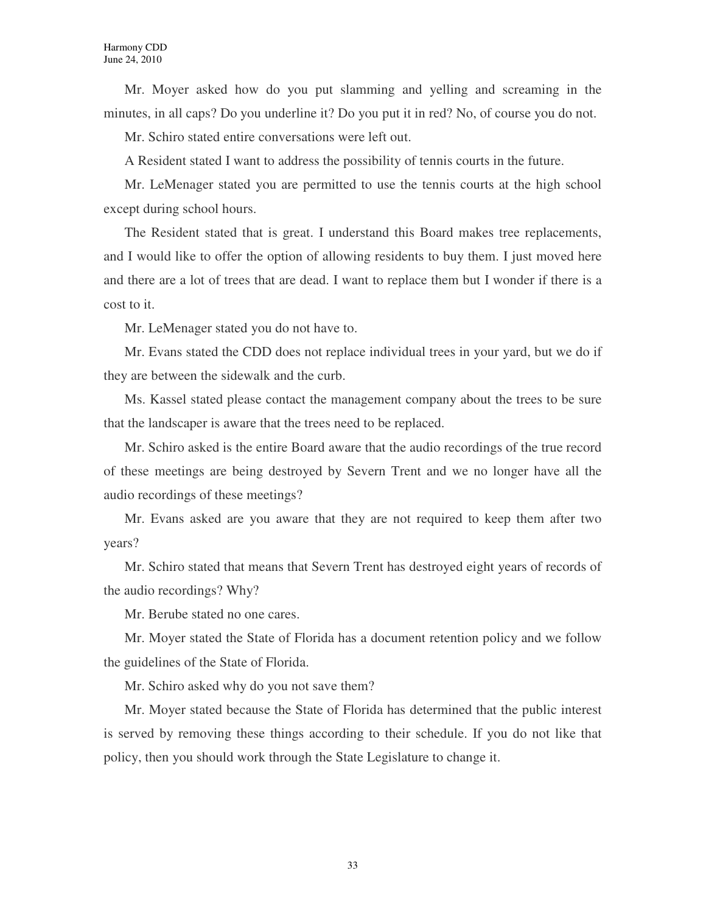Mr. Moyer asked how do you put slamming and yelling and screaming in the minutes, in all caps? Do you underline it? Do you put it in red? No, of course you do not.

Mr. Schiro stated entire conversations were left out.

A Resident stated I want to address the possibility of tennis courts in the future.

Mr. LeMenager stated you are permitted to use the tennis courts at the high school except during school hours.

The Resident stated that is great. I understand this Board makes tree replacements, and I would like to offer the option of allowing residents to buy them. I just moved here and there are a lot of trees that are dead. I want to replace them but I wonder if there is a cost to it.

Mr. LeMenager stated you do not have to.

Mr. Evans stated the CDD does not replace individual trees in your yard, but we do if they are between the sidewalk and the curb.

Ms. Kassel stated please contact the management company about the trees to be sure that the landscaper is aware that the trees need to be replaced.

Mr. Schiro asked is the entire Board aware that the audio recordings of the true record of these meetings are being destroyed by Severn Trent and we no longer have all the audio recordings of these meetings?

Mr. Evans asked are you aware that they are not required to keep them after two years?

Mr. Schiro stated that means that Severn Trent has destroyed eight years of records of the audio recordings? Why?

Mr. Berube stated no one cares.

Mr. Moyer stated the State of Florida has a document retention policy and we follow the guidelines of the State of Florida.

Mr. Schiro asked why do you not save them?

Mr. Moyer stated because the State of Florida has determined that the public interest is served by removing these things according to their schedule. If you do not like that policy, then you should work through the State Legislature to change it.